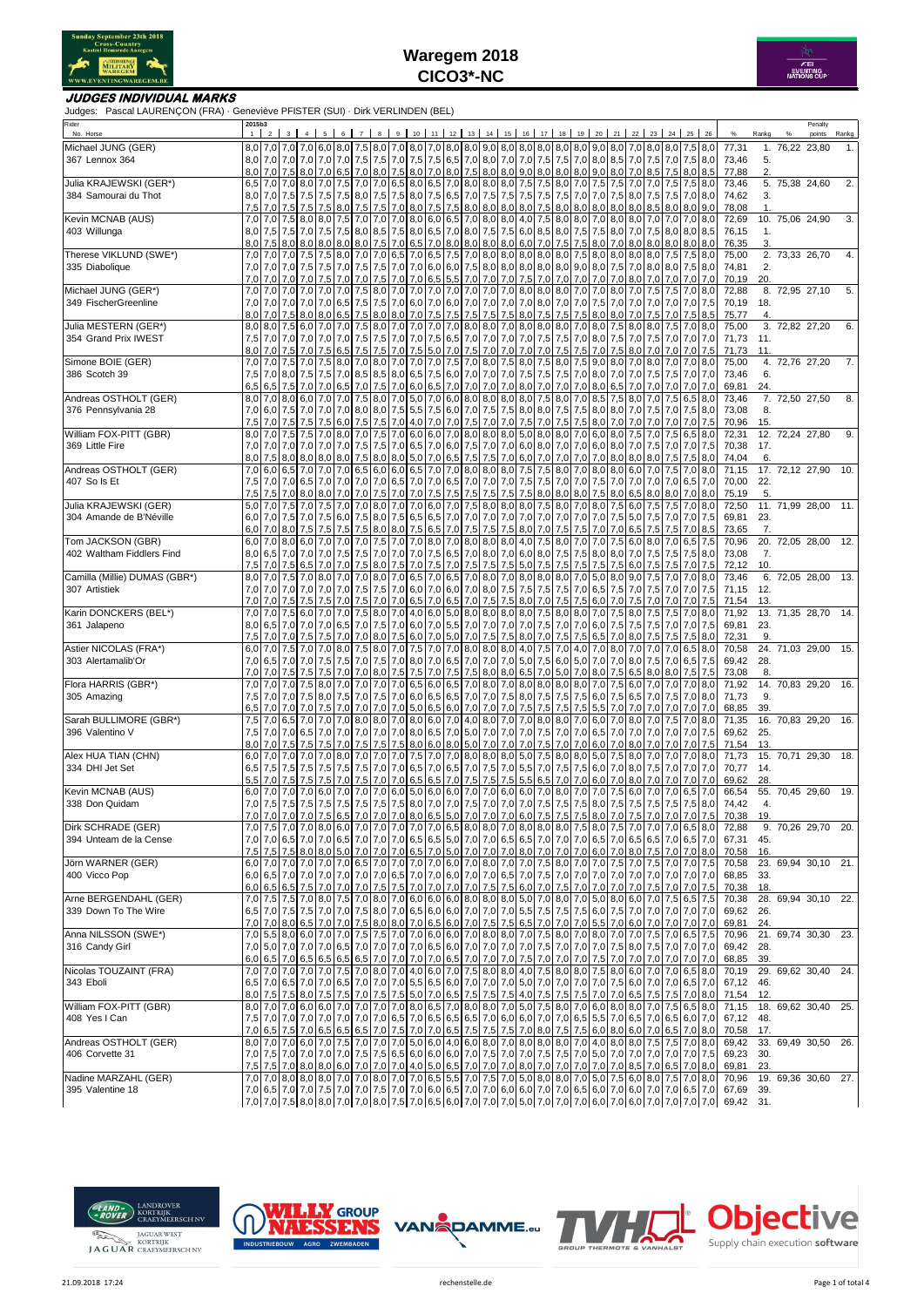



### **JUDGES INDIVIDUAL MARKS**

Judges: Pascal LAURENÇON (FRA) · Geneviève PFISTER (SUI) · Dirk VERLINDEN (BEL)

| Rider<br>No. Horse                             | 2015b3<br>1 | 2       |                          | $3 \mid 4$ |                 |                  |               |                             |  |                     |           |     | 5 6 7 8 9 10 11 12 13 14 15 16 17 18 19 20 21 22 23                                                                                                                                                                                                                                              |     |                         |         |                         |     |            |            |                                 |                      | 24 25     | 26                       | %              | Rankg      | % | Penalty<br>points   | Rankg |
|------------------------------------------------|-------------|---------|--------------------------|------------|-----------------|------------------|---------------|-----------------------------|--|---------------------|-----------|-----|--------------------------------------------------------------------------------------------------------------------------------------------------------------------------------------------------------------------------------------------------------------------------------------------------|-----|-------------------------|---------|-------------------------|-----|------------|------------|---------------------------------|----------------------|-----------|--------------------------|----------------|------------|---|---------------------|-------|
| Michael JUNG (GER)                             |             |         | 8,0 7,0 7,0              | 7.0        |                 |                  |               |                             |  |                     |           |     | 6.0   8.0   7.5   8.0   7.0   8.0   7.0   8.0   8.0   8.0   9.0   8.0   8.0   8.0   8.0   7.0   8.0   7.5   8.0   7.5   8.0   7.5   8.0   7.5   8.0   7.5   8.0   7.5   8.0   7.5   8.0   7.5   8.0   7.5   8.0   7.5   8.0   7                                                                  |     |                         |         |                         |     |            |            |                                 |                      |           |                          | 77,31          |            |   | 1. 76.22 23.80      | 1.    |
| 367 Lennox 364                                 |             |         |                          |            |                 |                  |               |                             |  |                     |           |     | 8,0 7,0 7,0 7,0 7,0 7,0 7,0 7,0 7,5 7,5 7,6 7,5 7,6 8,5 7,0 8,0 7,0 7,0 7,0 7,5 7,0 8,0 8,5 7,0 8,0 7,0 7,5 7,0 7,5 8,0                                                                                                                                                                          |     |                         |         |                         |     |            |            |                                 |                      |           |                          | 73,46          | 5.         |   |                     |       |
|                                                | 8,0         |         | 7.0 7.5                  | 8,0        |                 |                  |               |                             |  |                     |           |     | 7,0 6,5 7,0 8,0 7,5 8,0 7,0 8,0 7,5 8,0 8,0 9,0 8,0 8,0 8,0 9,0 8,0 7,0 8,5 7,5                                                                                                                                                                                                                  |     |                         |         |                         |     |            |            |                                 |                      |           | $8,0$ 8.5                | 77,88          | 2.         |   |                     |       |
| Julia KRAJEWSKI (GER*)<br>384 Samourai du Thot | 6,5<br>8,0  | 7,0     | 7,0 7,0<br>7.5           | 8,0<br>7.5 | 7,5             |                  |               |                             |  |                     |           |     | 7,0 7,5 7,0 7,0 6,5 8,0 6,5 7,0 8,0 8,0 8,0 7,5 7,5 8,0 7,0 7,5 7,5<br>7,5 8,0 7,5 7,5 8,0 7,5 6,5 7,0 7,5 7,5 7,5 7,5 7,5 7,5 7,0 7,0                                                                                                                                                           |     |                         |         |                         |     | 7,5        |            | 7,0 7,0 7,5<br>8,0 7,5          | 7,5                  |           | $7,5$ 8.0<br>7,0 8,0     | 73,46<br>74,62 | 3.         |   | 5. 75,38 24,60      | 2.    |
|                                                | 7,5         |         | 7,0 7,5                  | 7,5        | 7,5             |                  | 8,0 7,5       | 7,5 7,0 8,0 7,5 7,5         |  |                     |           |     | 8,0 8,0 8,0 8,0 7,5 8,0 8,0 8,0 8,0 8,0                                                                                                                                                                                                                                                          |     |                         |         |                         |     |            |            | $8.0$ $8.5$ $8.0$               |                      |           | $8,0$ 9.0                | 78,08          | 1.         |   |                     |       |
| Kevin MCNAB (AUS)                              | 7,0         |         | $7,0$ 7.5                | 8.0        |                 |                  |               |                             |  |                     |           |     | 8,0 7,5 7,0 7,0 7,0 8,0 6,0 6,5 7,0 8,0 8,0 4,0 7,5 8,0 8,0 7,0                                                                                                                                                                                                                                  |     |                         |         |                         |     | 8.0        |            | 8.0 7.0                         | 7.0                  | $7,0$ 8.0 |                          | 72,69          |            |   | 10. 75,06 24,90     | 3.    |
| 403 Willunga                                   | 8,0         | 7,5     | 7,5                      | 7,0        | 7,5             |                  |               |                             |  |                     |           |     | 7,5 8,0 8,5 7,5 8,0 6,5 7,0 8,0 7,5 7,5 6,0 8,5 8,0 7,5 7,5                                                                                                                                                                                                                                      |     |                         |         |                         |     | 8,0        | 7,0        | 7,5                             | 8,0                  |           | 8,0 8,5                  | 76,15          | 1.         |   |                     |       |
|                                                | 8,0         |         | 7,5 8,0                  | 8,0        | 8,0             |                  |               |                             |  |                     |           |     | 8,0 8,0 7,5 7,0 6,5 7,0 8,0 8,0 8,0 8,0 6,0 7,0 7,5 7,5                                                                                                                                                                                                                                          |     |                         |         |                         |     | $8,0$ 7.0  | 8,0        | 8.0 8.0                         |                      |           | 8,0 8,0                  | 76,35          | 3.         |   |                     |       |
| Therese VIKLUND (SWE*)<br>335 Diabolique       | 7,0<br>7,0  | 7,0     | 7,0<br>7,0 7,0           | 7,5<br>7,5 | 7,5             |                  |               |                             |  |                     |           |     | 7,5 8,0 7,0 7,0 6,5 7,0 6,5 7,5 7,0 8,0 8,0 8,0 8,0 8,0 7,5 8,0 8,0<br>7,0 7,5 7,5 7,0 7,0 6,0 6,0 7,5 8,0 8,0 8,0 8,0 8,0 9,0 8,0 7,5                                                                                                                                                           |     |                         |         |                         |     |            |            | 8,0 8,0 <br>7,0 8,0 8,0 7,5 8,0 | 7,5                  |           | $7,5$ 8.0                | 75,00<br>74,81 | 2.         |   | 2. 73,33 26,70      | 4.    |
|                                                | 7,0         | 7,0     | 7,0                      | 7,0        | 7,5             |                  | 7,0 7,0       | 7,5 7,0 7,0 6,5             |  |                     |           |     | 5,5 7,0 7,0 7,0 7,5 7,0 7,0 7,0 7,0 7,0                                                                                                                                                                                                                                                          |     |                         |         |                         |     | 7,0        | 8,0        | 7,0                             | 7,0                  | 7,0       | 7,0                      | 70,19          | 20.        |   |                     |       |
| Michael JUNG (GER*)                            | 7,0         |         | $7,0$ 7,0                | 7,0        |                 |                  | 7,0 7,0 7,5   |                             |  |                     |           |     | 8,0 7,0 7,0 7,0 7,0 7,0 7,0 7,0 7,0 8,0 8,0 8,0 7,0 7,0 8,0                                                                                                                                                                                                                                      |     |                         |         |                         |     |            |            | $7,0$ 7.5                       | 7,5                  |           | 7,0 8,0                  | 72,88          |            |   | 8. 72,95 27,10      | 5.    |
| 349 FischerGreenline                           | 7,0         | 7,0     | 7.0                      | 7.0        | 7,0             |                  | $6,5$ 7.5     |                             |  |                     |           |     | 7,5 7,0 6,0 7,0 6,0 7,0 7,0 7,0 7,0 8,0 7,0 7,0 7,5                                                                                                                                                                                                                                              |     |                         |         |                         |     |            | 7.0        | 7,0                             | 7.0                  | 7,0       | 7,5                      | 70,19          | 18.        |   |                     |       |
|                                                | 8,0         | 7,0     | 7.5                      | 8,0        | 8,0             |                  | $6,5$ 7.5     |                             |  | 8,0 8,0 7,0 7,5 7,5 |           | 7.5 | 7,5                                                                                                                                                                                                                                                                                              | 7,5 | 8,0 7,5                 | 7.5     | 7,5                     | 8,0 | 8.0        | 7.0        |                                 | 7.0                  | 7,5       | 8,5                      | 75,77          | 4.         |   |                     |       |
| Julia MESTERN (GER*)<br>354 Grand Prix IWEST   | 7,5         | 7,0     | $8,0$ $8,0$ $7,5$<br>7,0 | 6,0<br>7,0 |                 |                  |               |                             |  |                     |           |     | 7,0 7,0 7,5 8,0 7,0 7,0 7,0 7,0 8,0 8,0 7,0 8,0 8,0 8,0 7,0 8,0 7,0 8,0 7,5<br>7,0 7,5 7,5 7,5 7,6 7,0 7,6 6,5 7,0 7,0 7,0 7,0 7,5 7,5 7,0 8,0 7,5                                                                                                                                               |     |                         |         |                         |     |            |            | 8,0 8,0 <br>$7,0$ 7,5           | 7,5<br>7,0           |           | 7,0 8,0<br>$7,0$ 7,0     | 75,00<br>71,73 | 11.        |   | 3. 72.82 27.20      | 6.    |
|                                                | 8,0         |         | $7,0$ 7.5                | 7,0        | 7,5             |                  |               | 6,5 7,5 7,5 7,0 7,5         |  |                     |           |     | 5,0 7,0 7,5 7,0 7,0 7,0 7,0 7,5 7,5 7,0 7,5                                                                                                                                                                                                                                                      |     |                         |         |                         |     |            |            | $8,0$ 7.0                       | 7,0                  | 7,0       | 7,5                      | 71,73          | 11.        |   |                     |       |
| Simone BOIE (GER)                              | 7,0         | 7,0     | 7,5                      | 7,0        | 7,5             |                  |               |                             |  |                     |           |     | 8,0 7,0 8,0 7,0 7,0 7,0 7,5 7,0 8,0 7,5                                                                                                                                                                                                                                                          |     |                         |         | 8,0 7,5 8,0 7,5 9,0 8,0 |     |            |            | 7,0 8,0                         | 7.0                  |           | 7,0 8,0                  | 75,00          |            |   | 4. 72,76 27,20      | 7.    |
| 386 Scotch 39                                  | 7,5         |         | $7,0$ 8.0                | 7,5        |                 |                  |               |                             |  |                     |           |     | 7,5 7,0 8,5 8,5 8,0 6,5 7,5 6,0 7,0 7,0 7,0 7,5 7,5 7,5 7,0 8,0 7,0                                                                                                                                                                                                                              |     |                         |         |                         |     |            |            | 7,0 7,5                         | 7,5                  |           | $7,0$ 7,0                | 73,46          | 6.         |   |                     |       |
|                                                | 6,5         | 6,5     | 7.5                      | 7.0        | 7.0             | 6.5              | 7,0           |                             |  | 7,5 7,0 6,0 6,5 7,0 |           |     | $7,0$ 7,0                                                                                                                                                                                                                                                                                        |     | 7,0 8,0 7,0 7,0 7,0 8,0 |         |                         |     | 6.5        | 7.0        | 7.0                             |                      | 7,0       | 7,0                      | 69,81          | 24.        |   |                     |       |
| Andreas OSTHOLT (GER)                          | 8,0         |         | 7,0 8,0                  | 6,0        |                 |                  | 7,0 7,0 7,5   |                             |  |                     |           |     | 8,0 7,0 5,0 7,0 6,0 8,0 8,0 8,0 8,0 7,5 8,0 7,0 8,5                                                                                                                                                                                                                                              |     |                         |         |                         |     | 7,5        | 8,0        | 7,0                             | 7,5                  | $6,5$ 8.0 |                          | 73,46          |            |   | 7. 72,50 27,50      | 8.    |
| 376 Pennsylvania 28                            | 7,5         |         | 7,0 6,0 7,5<br>$7,0$ 7.5 | 7.0<br>7,5 | 7,5             |                  | $6,0$ 7,5     |                             |  |                     |           |     | 7,0 7,0 8,0 8,0 7,5 5,5 7,5 6,0 7,0 7,5 7,5 8,0 8,0 7,5 7,5 8,0 8,0 7,5 7,6 7,0 7,5<br>7,5 7,0 4,0 7,0 7,0 7,5 7,0 7,0 7,5 7,0 7,5 7,5 8,0                                                                                                                                                       |     |                         |         |                         |     | 7.0        |            | $7,0$ 7,0 7,0                   |                      |           | 7,0 7,5 8,0<br>$7.0$ 7.5 | 73,08<br>70,96 | 8.<br>15.  |   |                     |       |
| William FOX-PITT (GBR)                         | 8,0         |         | 7,0 7,5                  | 7,5        |                 |                  |               |                             |  |                     |           |     | 7,0 8,0 7,0 7,5 7,0 6,0 6,0 7,0 8,0 8,0 8,0 5,0 8,0 8,0 7,0 6,0 8,0                                                                                                                                                                                                                              |     |                         |         |                         |     |            |            | $7,5$ 7,0                       | 7,5                  |           | 6,5 8,0                  | 72,31          |            |   | 12. 72,24 27,80     | 9.    |
| 369 Little Fire                                | 7,0         |         | 7,0 7,0                  | 7,0        | 7,0             |                  |               |                             |  |                     |           |     | 7,0 7,5 7,5 7,0 6,5 7,0 6,0 7,5 7,0 7,0 6,0 8,0 7,0 7,0 6,0 8,0                                                                                                                                                                                                                                  |     |                         |         |                         |     |            | 7,0        | 7,5                             | 7,0                  |           | $7,0$ 7,5                | 70,38          | 17.        |   |                     |       |
|                                                | 8,0         |         | $7,5$ 8,0                | 8,0        | 8,0             |                  | 8,0 7,5       | 8,0 8,0 5,0                 |  |                     | 7,0 6,5   |     | $7,5$ 7,5                                                                                                                                                                                                                                                                                        |     | 7,0 6,0 7,0 7,0 7,0 7,0 |         |                         |     | 8.0        | 8,0        | 8,0                             | 7,5                  | 7,5       | 8,0                      | 74,04          | 6.         |   |                     |       |
| Andreas OSTHOLT (GER)                          | 7,0         |         | 6,0 6,5                  | 7.0        | 7,0             |                  | $7,0$ 6.5     |                             |  |                     |           |     | 6,0 6,0 6,5 7,0 7,0 8,0 8,0 8,0 7,5 7,5 8,0 7,0 8,0                                                                                                                                                                                                                                              |     |                         |         |                         |     | 8.0        |            | $6,0$ 7.0                       | 7,5                  |           | 7,0 8,0                  | 71,15          |            |   | 17. 72,12 27,90     | 10.   |
| 407 So Is Et                                   |             |         | $7,5$ 7,0 7,0            |            |                 |                  |               |                             |  |                     |           |     | 6,5 7,0 7,0 7,0 7,0 6,5 7,0 7,0 6,5 7,0 7,0 7,0 7,5 7,5 7,0 7,0 7,5                                                                                                                                                                                                                              |     |                         |         |                         |     |            |            | 7,0 7,0 7,0                     | 7,0                  |           | $6,5$ 7,0                | 70,00          | 22.        |   |                     |       |
| Julia KRAJEWSKI (GER)                          | 7,5<br>5,0  | 7,5     | 7.0<br>7,0 7,5           | 8,0<br>7,0 | 8,0             |                  |               | 7,0 7,0 7,5 7,0 7,0 7,5 7,5 |  |                     |           |     | 7,5 7,5 7,5<br>7,5 7,0 7,0 8,0 7,0 7,0 6,0 7,0 7,5 8,0 8,0 8,0 7,5 8,0 7,0 8,0                                                                                                                                                                                                                   |     |                         |         | 7,5 8,0 8,0 8,0 7,5     |     | 8,0<br>7,5 | 6,5<br>6,0 | 8,0<br>7,5                      | 8,0<br>7,5           |           | 7,0 8,0<br>7,0 8,0       | 75,19<br>72,50 | 5.         |   | 11. 71,99 28,00 11. |       |
| 304 Amande de B'Néville                        | 6,0         | 7,0     | 7,5                      | 7.0        | 7,5             |                  | $6.0$ 7.5     |                             |  |                     |           |     |                                                                                                                                                                                                                                                                                                  |     |                         |         |                         |     | 7.5        | 5.0        | 7.5                             | 7.0                  | 7.0       | 7,5                      | 69,81          | 23.        |   |                     |       |
|                                                | 6,0         |         | 7,0 8,0                  | 7,5        | 7,5             |                  |               | 7,5 7,5 8,0 8,0 7,5         |  |                     | $6,5$ 7.0 |     | 7,5 7,5 7,5 8,0 7,0 7,5 7,5                                                                                                                                                                                                                                                                      |     |                         |         |                         | 7,0 | 7,0        | 6,5        | 7,5                             | 7,5                  |           | $7,0$ 8,5                | 73,65          | 7.         |   |                     |       |
| Tom JACKSON (GBR)                              | 6,0         |         | 7,0 8,0                  | 6,0        |                 |                  |               |                             |  |                     |           |     | 7,0 7,0 7,0 7,5 7,0 7,0 8,0 7,0 8,0 8,0 8,0 4,0 7,5 8,0 7,0 7,0                                                                                                                                                                                                                                  |     |                         |         |                         |     |            |            | 6,0 8,0                         | 7,0 6,5 7,5          |           |                          | 70,96          |            |   | 20. 72,05 28,00 12. |       |
| 402 Waltham Fiddlers Find                      | 8,0         | 6.5     | 7,0                      | 7.0        | 7,0             | 7.5              | 7,5           |                             |  |                     |           |     | 7,0 7,0 7,0 7,5 6,5 7,0 8,0 7,0 6,0 8,0 7,5 7,5 8,0 8,0                                                                                                                                                                                                                                          |     |                         |         |                         |     |            | 7.0        | 7,5                             | 7,5                  |           | $7,5$ 8,0                | 73,08          | 7.         |   |                     |       |
|                                                | 7,5<br>8,0  |         | $7,0$ 7.5                | 6,5        | 7,0<br>8,0      |                  | 7,0 7,5       | 8,0 7,5 7,0                 |  |                     |           |     | 7,5 7,0 7,5 7,5                                                                                                                                                                                                                                                                                  | 7,5 | $5,0$ 7,5               |         | $7,5$ 7,5               | 7,5 | 7,5        | 6,0        | 7,5                             | 7.5                  | 7,0       | 7,5                      | 72,12          | 10.        |   |                     |       |
| Camilla (Millie) DUMAS (GBR*)<br>307 Artistiek | 7,0         | 7,0     | 7,5<br>7,0 7,0           | 7,0        | 7.0 7.0 7.0 7.5 |                  | 7,0 7,0       | 8,0 7,0 6,5 7,0             |  |                     | 6,5       |     | 7,0 8,0 7,0 8,0 8,0 8,0 7,0 5,0<br>7,5 7,0 6,0 7,0 6,0 7,0 8,0 7,5 7,5 7,5                                                                                                                                                                                                                       |     |                         |         | 7,5 7,0 6,5             |     | 8,0<br>7.5 | 9,0<br>7,0 | 7,5<br>7,5                      | 7,0<br>7,0           |           | 7,0 8,0<br>$7,0$ 7.5     | 73,46<br>71,15 | 12.        |   | 6. 72,05 28,00      | 13.   |
|                                                | 7,0         | 7,0     | 7,5                      |            | 7,5             |                  | 7,0 7,5       | 7,0 7,0 6,5                 |  |                     | 7,0 6,5   |     | $7,0$ 7,5                                                                                                                                                                                                                                                                                        | 7,5 |                         |         | 8,0 7,0 7,5 7,5 6,0     |     |            | 7.5        | 7.0                             | 7,0                  | 7,0       | 7,5                      | 71,54          | 13.        |   |                     |       |
| Karin DONCKERS (BEL*)                          | 7,0         | 7,0     | 7,5                      | 6,0        |                 |                  |               |                             |  |                     |           |     | 7,0 7,0 7,5 8,0 7,0 4,0 6,0 5,0 8,0 8,0 8,0 8,0 7,5 8,0 8,0 7,0                                                                                                                                                                                                                                  |     |                         |         |                         |     | 7,5        | 8,0        | 7,5                             | 7,5                  |           | $7,0$ 8.0                | 71,92          |            |   | 13. 71,35 28,70 14. |       |
| 361 Jalapeno                                   |             | 8.0 6.5 |                          | 7,0 7,0    |                 |                  |               |                             |  |                     |           |     | 7,0 6,5 7,0 7,5 7,6 6,0 7,0 6,0 7,0 6,5 7,0 7,0 7,0 7,0 7,5 7,0 7,0 6,0 7,5 7,5 7,5 7,5                                                                                                                                                                                                          |     |                         |         |                         |     |            |            |                                 |                      |           | 7,0 7,0 7,5              | 69,81          | 23.        |   |                     |       |
|                                                | 7,5         |         | 7,0 7,0                  | 7,5        | 7,5             |                  |               |                             |  |                     |           |     | 7,0 7,0 8,0 7,5 6,0 7,0 5,0 7,0 7,5 7,5 8,0 7,0 7,5 7,5 6,5 7,0                                                                                                                                                                                                                                  |     |                         |         |                         |     |            |            | $8.0$ 7.5                       | 7.5                  | 7,5       | 8,0                      | 72,31          | 9          |   |                     |       |
| Astier NICOLAS (FRA*)<br>303 Alertamalib'Or    | 6,0<br>7,0  | 6,5     | 7,0 7.5<br>7,0           | 7,0<br>7,0 | 7,5             |                  |               |                             |  |                     |           |     | 7,0 8,0 7,5 8,0 7,0 7,5 7,0 7,6 8,0 8,0 8,0 8,0 4,0 7,5 7,0 4,0 7,0 8,0 7,0 7,0 7,0<br>7,5 7,0 7,5 7,0 8,0 7,0 6,5 7,0 7,0 7,0 5,0 7,5 6,0 5,0 7,0                                                                                                                                               |     |                         |         |                         |     | 7,0        |            | $8,0$ 7.5                       | $7,0$ 6,5 8,0<br>7,0 |           | $6,5$ 7.5                | 70,58<br>69,42 | 28.        |   | 24. 71,03 29,00 15. |       |
|                                                | 7,0         |         | $7,0$ 7.5                | 7,5        | 7,5             |                  | 7,0 7,0       |                             |  |                     |           |     | 8,0 7,5 7,5 7,0 7,5 7,5 8,0 8,0 6,5 7,0 5,0 7,0 8,0 7,5                                                                                                                                                                                                                                          |     |                         |         |                         |     |            | 6,5        | 8,0 8,0                         |                      |           | $7,5$ 7,5                | 73,08          | 8.         |   |                     |       |
| Flora HARRIS (GBR*)                            | 7,0         | 7.0     | 7.0                      | 7.5        |                 |                  | 8,0 7,0 7,0   | 7,0 7,0 6,5                 |  |                     |           |     | 6.0 6.5 7.0 8.0 7.0 8.0 8.0 8.0 8.0 7.0                                                                                                                                                                                                                                                          |     |                         |         |                         |     | 7.5        | 6,0        | 7.0                             | 7.0                  |           | $7,0$ 8.0                | 71,92          |            |   | 14. 70,83 29,20     | 16.   |
| 305 Amazing                                    | 7,5         |         | $7,0$ 7,0                | 7,5        |                 |                  | $8.0$ 7.5 7.0 | 7,5 7,0 6,0 6,5 6,5         |  |                     |           |     | 7,0 7,0 7,5                                                                                                                                                                                                                                                                                      |     |                         |         | 8,0 7,5 7,5 7,5 6,0     |     | 7,5        | 6,5        | 7,0                             | 7,5                  |           | 7,0 8,0                  | 71,73          | 9.         |   |                     |       |
|                                                | 6,5         |         | 7,0 7,0                  | 7.0        | 7,5             |                  | 7,0 7,0       |                             |  |                     |           |     | 7,0 7,0 5,0 6,5 6,0 7,0 7,0 7,0 7,5 7,5 7,5 7,5                                                                                                                                                                                                                                                  |     |                         |         |                         | 5,5 | 7.0        | 7,0        | 7.0                             | 7.0                  | $7,0$ 7.0 |                          | 68,85          | 39.        |   |                     |       |
| Sarah BULLIMORE (GBR*)<br>396 Valentino V      | 7,5         |         | 7,0 6,5                  | 7,0        |                 |                  |               |                             |  |                     |           |     | 7,0 7,0 8,0 8,0 7,0 8,0 6,0 7,0 4,0 8,0 7,0 7,0 8,0 8,0 7,0 6,0 7,0                                                                                                                                                                                                                              |     |                         |         |                         |     |            |            | $8,0$ 7.0                       | 7,5                  |           | 7,0 8,0                  | 71,35          |            |   | 16. 70,83 29,20 16. |       |
|                                                | 7,5<br>8,0  | 7,0     | 7.0 7.0<br>7,5           | 6,5<br>7,5 | 7,5             | 7.0 <sub>l</sub> | 7,5           | 7,5 7,5 8,0 6,0 8,0         |  |                     |           |     | 7,0 7,0 7,0 7,0 7,0 8,0 6,5 7,0 5,0 7,0 7,0 7,0 7,5 7,0 7,0 6,5<br>5,0 7,0 7,0 7,0 7,5 7,0 7,0 6,0                                                                                                                                                                                               |     |                         |         |                         |     | 7.0        | 8,0        | 7,0 7,0 7,0<br>7,0              | 7.0                  | 7,0       | 7,0 7,0 7,5<br>7,5       | 69,62<br>71,54 | 25.<br>13. |   |                     |       |
| Alex HUA TIAN (CHN)                            | 6,0         | 7,0     | 7,0                      | 7,0        | 7,0             |                  | 8,0 7,0       |                             |  |                     |           |     | 7,0 7,0 7,5 7,0 7,0 8,0 8,0 8,0 5,0 7,5 8,0 8,0 5,0                                                                                                                                                                                                                                              |     |                         |         |                         |     | 7.5        |            | $8,0$ 7.0                       | 7,0                  |           | 7,0 8,0                  | 71,73          |            |   | 15. 70,71 29,30 18. |       |
| 334 DHI Jet Set                                | 6,5         | 7,5     | 7,5                      | 7,5        | 7,5             | 7,5              | 7,5           |                             |  | 7,0 7,0 6,5 7,0 6,5 |           |     | $7,0$ 7,5                                                                                                                                                                                                                                                                                        | 7,0 | 5,5                     | 7,0 7.5 | $7,5$ 6.0               |     | 7.0        |            | $8,0$ 7.5                       | 7,0                  |           | $7,0$ 7.0                | 70,77          | 14.        |   |                     |       |
|                                                | 5,5         |         | $7,0$ 7.5                | 7.5        | 7,5             |                  | 7,0 7,5       | 7,0 7,0 6,5                 |  |                     | $6,5$ 7,0 | 7,5 | 7,5                                                                                                                                                                                                                                                                                              | 7,5 |                         |         | 5,5 6,5 7,0 7,0 6,0     |     | 7.0        | 8,0        | 7.0                             | 7,0                  |           | 7.0 7.0                  | 69,62          | 28.        |   |                     |       |
| Kevin MCNAB (AUS)                              |             |         | 6,0 7,0 7,0 7,0          |            |                 |                  |               |                             |  |                     |           |     | 6,0 7,0 7,0 7,0 6,0 5,0 6,0 6,0 7,0 7,0 6,0 6,0 7,0 8,0 7,0 7,0 7,0 7,5                                                                                                                                                                                                                          |     |                         |         |                         |     |            |            | 6,0 7,0                         |                      |           | 7,0 6,5 7,0              | 66,54          |            |   | 55. 70,45 29,60     | 19.   |
| 338 Don Quidam                                 |             |         |                          |            |                 |                  |               |                             |  |                     |           |     | 7,0 7,5 7,5 7,5 7,5 7,5 7,5 7,5 7,5 7,5 8,0 7,0 7,0 7,0 7,0 7,0 7,0 7,0 7,5 7,5 8,0 7,5 8,0 7,5 7,5 7,5 7,5 7,5 8,0                                                                                                                                                                              |     |                         |         |                         |     |            |            |                                 |                      |           |                          | 74,42<br>70.38 | 4.<br>19.  |   |                     |       |
| Dirk SCHRADE (GER)                             |             |         |                          |            |                 |                  |               |                             |  |                     |           |     | 7,0 7,0 8,0 6,0 7,0 8,0 7,0 7,0 7,0 7,0 7,0 7,0 7,0 7,0 6,5 8,0 8,0 7,0 8,0 8,0 8,0 7,5 8,0 7,5 7,0 7,0 7,0 7,0 6,5 8,0                                                                                                                                                                          |     |                         |         |                         |     |            |            |                                 |                      |           |                          | 72,88          |            |   | 9. 70,26 29,70 20.  |       |
| 394 Unteam de la Cense                         |             |         |                          |            |                 |                  |               |                             |  |                     |           |     | 7,0 6,5 7,0 6,5 7,0 6,5 7,0 7,0 6,5 7,0 7,0 6,5 6,5 6,6 5,0 7,0 7,0 6,5 6,5 7,0 7,0 7,0 6,5 7,0 6,5 7,0 6,5 7,0 6,5 7,0                                                                                                                                                                          |     |                         |         |                         |     |            |            |                                 |                      |           |                          | 67,31          | 45.        |   |                     |       |
|                                                |             |         |                          |            |                 |                  |               |                             |  |                     |           |     | 7,5 7,5 8,0 8,0 5,0 7,0 7,0 7,0 6,5 7,0 6,5 7,0 6,0 7,0 7,0 7,0 8,0 7,0 7,0 6,0 7,0 6,0 7,0 8,0 7,5 7,0 7,0 8,0                                                                                                                                                                                  |     |                         |         |                         |     |            |            |                                 |                      |           |                          | 70,58          | 16.        |   |                     |       |
| Jörn WARNER (GER)                              |             |         |                          |            |                 |                  |               |                             |  |                     |           |     | 6,0 7,0 7,0 7,0 7,0 7,0 7,0 7,0 6,5 7,0 7,0 7,0 7,0 6,0 7,0 8,0 7,0 8,0 7,0 7,5 8,0 7,0 7,0 7,0 7,5 7,0 7,70 7,7                                                                                                                                                                                 |     |                         |         |                         |     |            |            |                                 |                      |           |                          | 70,58          |            |   | 23. 69,94 30,10 21. |       |
| 400 Vicco Pop                                  |             |         |                          |            |                 |                  |               |                             |  |                     |           |     | 6,0 6,5 6,5 7,6 7,0 7,0 7,0 7,6 7,5 7,76 7,0 7,0 7,0 7,0 7,75 7,76 6,0 7,0 7,5 7,0 7,0 7,0 7,0 7,5 7,0 7,0 7,7                                                                                                                                                                                   |     |                         |         |                         |     |            |            |                                 |                      |           |                          | 68,85<br>70,38 | 33.<br>18. |   |                     |       |
| Arne BERGENDAHL (GER)                          |             |         |                          |            |                 |                  |               |                             |  |                     |           |     | 7,0 7,5 7,0 8,0 7,5 7,0 8,0 7,5 7,0 8,0 7,6 8,0 7,0 6,0 6,0 6,0 8,0 8,0 8,0 8,0 7,0 8,0 7,0 8,0 8,0 8,0 7,0 7,0 7,5 6,5 7,5                                                                                                                                                                      |     |                         |         |                         |     |            |            |                                 |                      |           |                          | 70,38          |            |   | 28. 69,94 30,10     | 22.   |
| 339 Down To The Wire                           |             |         |                          |            |                 |                  |               |                             |  |                     |           |     | 6,5 7,0 7,5 7,5 7,6 7,0 7,0 7,0 7,0 7,0 8,7 8,0 6,0 6,0 6,0 7,0 7,0 7,0 7,0 7,5 7,5 7,5 7,5 6,0 7,5 7,0 7,0 7,0 7,0 7,0 7,0 7,0                                                                                                                                                                  |     |                         |         |                         |     |            |            |                                 |                      |           |                          | 69,62          | 26.        |   |                     |       |
|                                                |             |         |                          |            |                 |                  |               |                             |  |                     |           |     | 7,0 8,0 6,5 7,0 7,0 7,0 7,0 7,0 7,5 8,0 8,0 7,0 6,5 6,0 7,0 7,5 7,5 6,5 7,0 7,0 7,0 5,5 7,0 6,0 7,0 7,0 7,0 7,0                                                                                                                                                                                  |     |                         |         |                         |     |            |            |                                 |                      |           |                          | 69,81          | 24.        |   |                     |       |
| Anna NILSSON (SWE*)                            |             |         |                          |            |                 |                  |               |                             |  |                     |           |     | 7,0 5,5 8,0 6,0 7,0 7,0 7,0 7,5 7,0 7,5 7,0 7,0 6,0 6,0 7,0 8,0 8,0 7,0 7,5 8,0 7,0 8,0 7,0 7,0 7,0 7,0 7,5 7,0 6,5 7,5                                                                                                                                                                          |     |                         |         |                         |     |            |            |                                 |                      |           |                          | 70,96          |            |   | 21. 69,74 30,30 23. |       |
| 316 Candy Girl                                 |             |         |                          |            |                 |                  |               |                             |  |                     |           |     |                                                                                                                                                                                                                                                                                                  |     |                         |         |                         |     |            |            |                                 |                      |           |                          | 69,42          | 28.        |   |                     |       |
| Nicolas TOUZAINT (FRA)                         |             |         |                          |            |                 |                  |               |                             |  |                     |           |     | 6,6   7,0   7,0   7,0   7,0   7,0   7,0   7,0   7,0   7,0   7,0   7,0   7,0   7,0   7,0   7,5   7,0   7,0   7,0   7,0   7,0   7,0   7,0   7,0   7,0   7,0   7,0   7,0<br>7,0 7,0 7,0 7,0 7,0 7,0 7,0 8,0 8,0 7,0 4,0 6,0 7,0 7,5 8,0 8,0 4,0 7,5 8,0 8,0 7,5 8,0 6,0 7,5 8,0 6,0 7,0 7,0 6,5 8,0 |     |                         |         |                         |     |            |            |                                 |                      |           |                          | 68,85<br>70,19 | 39.        |   | 29. 69,62 30,40 24. |       |
| 343 Eboli                                      |             |         |                          |            |                 |                  |               |                             |  |                     |           |     |                                                                                                                                                                                                                                                                                                  |     |                         |         |                         |     |            |            |                                 |                      |           |                          | 67,12          | 46.        |   |                     |       |
|                                                |             |         |                          |            |                 |                  |               |                             |  |                     |           |     | 8,0 7,5 7,5 8,0 7,5 7,6 7,0 7,5 7,7 8,0 7,0 8,5 7,5 7,6 7,5 7,5 7,5 7,5 7,5 7,6 7,6 7,6 7,0 6,5 7,5 7,6 7,6 7,6 7,6 8,0                                                                                                                                                                          |     |                         |         |                         |     |            |            |                                 |                      |           |                          | 71,54          | 12.        |   |                     |       |
| William FOX-PITT (GBR)                         |             |         |                          |            |                 |                  |               |                             |  |                     |           |     | 8,0 7,0 7,0 6,0 6,0 6,0 7,0 7,0 7,0 7,0 7,0 8,0 6,5 7,0 8,0 8,0 7,0 5,0 7,5 8,0 7,0 6,0 8,0 8,0 7,0 7,5 6,5 8,0                                                                                                                                                                                  |     |                         |         |                         |     |            |            |                                 |                      |           |                          | 71,15          |            |   | 18. 69,62 30,40 25. |       |
| 408 Yes I Can                                  |             |         |                          |            |                 |                  |               |                             |  |                     |           |     | 7,5   7,0   7,0   7,0   7,0   7,0   7,0   7,0   7,0   6,5   7,0   6,5   6,5   6,5   6,5   6,6   7,0   6,0   7,0   7,0   6,5   5,5   7,0   6,5   7,0   6,5   6,0   7,0                                                                                                                            |     |                         |         |                         |     |            |            |                                 |                      |           |                          | 67,12 48.      |            |   |                     |       |
| Andreas OSTHOLT (GER)                          |             |         |                          |            |                 |                  |               |                             |  |                     |           |     | 7,0 6,5 7,0 6,5 6,5 6,5 6,5 6,5 7,0 7,0 7,0 6,5 7,0 7,0 6,5 7,5 7,5 7,6 8,0 7,5 7,5 6,0 8,0 6,0 7,0 6,5 7,0 8,0                                                                                                                                                                                  |     |                         |         |                         |     |            |            |                                 |                      |           |                          | 70,58          | 17.        |   | 33. 69,49 30,50 26. |       |
| 406 Corvette 31                                |             |         |                          |            |                 |                  |               |                             |  |                     |           |     | 8,0 7,0 7,0 6,0 7,0 7,0 7,0 7,0 7,0 7,0 7,0 5,0 6,0 4,0 6,0 8,0 7,0 8,0 8,0 8,0 7,0 4,0 8,0 8,0 7,5 7,5 7,6 7,0 8,0<br>7,0 7,0 7,0 7,0 7,0 7,0 7,0 7,0 7,0 7,5 6,5 6,0 6,0 6,0 7,0 7,5 7,0 7,0 7,5 7,6 7,6 7,0 5,0 7,0 7,0 7,0 7,0 7,0 7,0 7,0                                                   |     |                         |         |                         |     |            |            |                                 |                      |           |                          | 69,42<br>69,23 | 30.        |   |                     |       |
|                                                | 7,5         |         |                          |            |                 |                  |               |                             |  |                     |           |     | 7,5 7,0 8,5 7,0 8,0 8,0 6,5 7,0 7,0 4,0 5,0 6,5 7,0 7,0 7,0 8,0 7,0 7,0 7,0 7,0 7,0 7,0 8,5 7,0 6,5 7,0 8,0                                                                                                                                                                                      |     |                         |         |                         |     |            |            |                                 |                      |           |                          | 69,81          | 23.        |   |                     |       |
| Nadine MARZAHL (GER)                           |             |         |                          |            |                 |                  |               |                             |  |                     |           |     | 7,0 8,0 8,0 8,0 8,0 8,0 7,0 7,0 8,0 7,0 8,0 7,0 8,0 7,0 6,5 5,5 7,0 7,5 7,0 5,0 8,0 8,0 7,0 5,0 7,5 6,0 8,0 7,5 7,0 8,0                                                                                                                                                                          |     |                         |         |                         |     |            |            |                                 |                      |           |                          | 70,96          |            |   | 19. 69,36 30,60 27. |       |
| 395 Valentine 18                               |             |         |                          |            |                 |                  |               |                             |  |                     |           |     | 7,0 7,0 7,0 7,0 7,0 7,0 7,0 6,0 7,0 7,0 6,5 7,0 7,0 6,0 6,5 7,0 7,0 6,0 6,0 7,0 6,0 7,0 6,0 7,0 7,0 7,0 6,0 7,0 6,70                                                                                                                                                                             |     |                         |         |                         |     |            |            |                                 |                      |           |                          | 67,69          | 39.        |   |                     |       |
|                                                |             |         |                          |            |                 |                  |               |                             |  |                     |           |     |                                                                                                                                                                                                                                                                                                  |     |                         |         |                         |     |            |            |                                 |                      |           |                          | 69,42 31.      |            |   |                     |       |











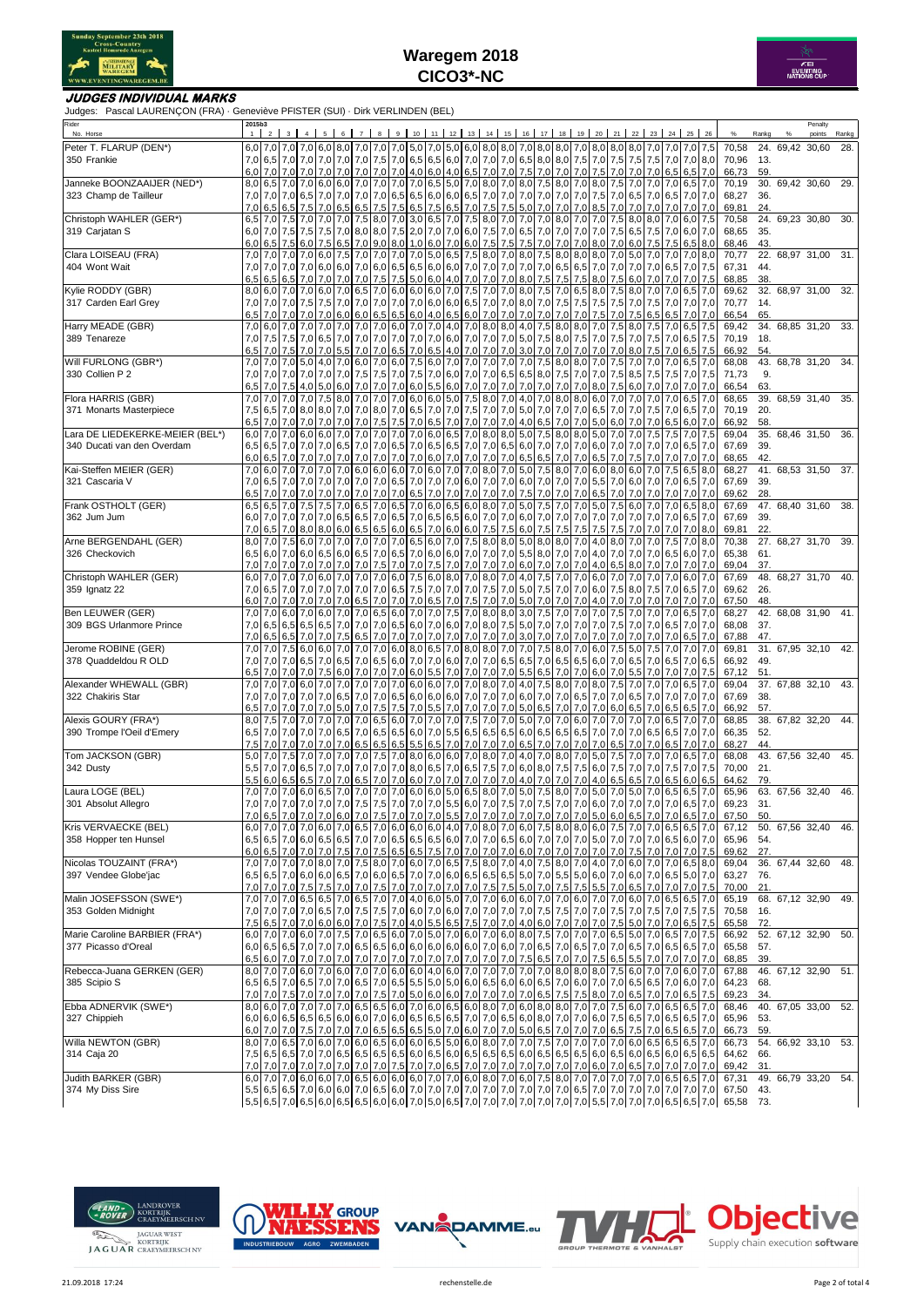



### **JUDGES INDIVIDUAL MARKS**

Judges: Pascal LAURENÇON (FRA) · Geneviève PFISTER (SUI) · Dirk VERLINDEN (BEL)

| Rider<br>No. Horse                                   | 2015b3<br>1 <sup>1</sup> |           |               |                          | $3 \quad 4 \quad 5$ |                      |           |     |           |                           |  | 6 7 8 9 10 11 12 13 14 15 16 17 18 19 20 21 22 23 24 25 26                                                                                                                                                                                                                                                                                                                                                                                                          |                                |                                        |            |                           |     |             |                    |     |                                  |                    | Rankg      | Penalty<br>points     | Rankg |
|------------------------------------------------------|--------------------------|-----------|---------------|--------------------------|---------------------|----------------------|-----------|-----|-----------|---------------------------|--|---------------------------------------------------------------------------------------------------------------------------------------------------------------------------------------------------------------------------------------------------------------------------------------------------------------------------------------------------------------------------------------------------------------------------------------------------------------------|--------------------------------|----------------------------------------|------------|---------------------------|-----|-------------|--------------------|-----|----------------------------------|--------------------|------------|-----------------------|-------|
| Peter T. FLARUP (DEN*)                               |                          |           |               |                          |                     |                      |           |     |           |                           |  | 6,0 7,0 7,0 8,0 8,0 8,0 8,0 8,0 7,0 7,0 7,0 7,0 7,0 7,0 8,0 6,0 8,0 8,0 8,0 7,0 8,0 7,0 8,0 8,0 8,0 8,0 7,0 7,0 7,0 7,0 7,5                                                                                                                                                                                                                                                                                                                                         |                                |                                        |            |                           |     |             |                    |     |                                  | 70,58              |            | 24. 69,42 30,60       | 28.   |
| 350 Frankie                                          |                          |           |               |                          |                     |                      |           |     |           |                           |  | 7,0 $\begin{bmatrix} 7,0 \end{bmatrix}$ 7,0 $\begin{bmatrix} 7,0 \end{bmatrix}$ 7,0 $\begin{bmatrix} 7,0 \end{bmatrix}$ 7,0 $\begin{bmatrix} 7,0 \end{bmatrix}$ 6,5 $\begin{bmatrix} 6,5 \end{bmatrix}$ 6,0 $\begin{bmatrix} 7,0 \end{bmatrix}$ 7,0 $\begin{bmatrix} 7,0 \end{bmatrix}$ 8,0 $\begin{bmatrix} 8,0 \end{bmatrix}$ 8,0 $\begin{bmatrix} 7,5 \end{bmatrix}$ 7,0 $\begin{bmatrix} 7,5 \$                                                                 |                                |                                        |            |                           |     |             |                    |     |                                  | 70,96              | - 13.      |                       |       |
|                                                      |                          |           |               |                          |                     |                      |           |     |           |                           |  | 6,5 6,5 7,0 7,0 7,0 7,0 6,5 6,5 7,0 7,0 7,0 7,0 4,0 6,0 4,0 6,5 7,0 7,0 7,0 7,5 7,0 7,0 7,0 7,0 7,0 7,0 6,5 6,5 7,0                                                                                                                                                                                                                                                                                                                                                 |                                |                                        |            |                           |     |             |                    |     |                                  | 66,73              | 59.        |                       |       |
| Janneke BOONZAAIJER (NED*)                           |                          |           |               |                          |                     |                      |           |     |           |                           |  | 8,0 6,5 7,0 7,0 6,0 7,0 6,0 7,0 7,0 7,0 7,0 7,0 6,5 5,0 7,0 8,0 7,0 8,0 7,5 8,0 7,0 8,0 7,5 7,0 7,0 7,0 6,5 7,0                                                                                                                                                                                                                                                                                                                                                     |                                |                                        |            |                           |     |             |                    |     |                                  | 70,19              |            | 30. 69,42 30,60       | 29.   |
| 323 Champ de Tailleur                                | 7,0                      | 6,5       | 6,5           | 7,5                      | 7,0                 | 6,5                  | 6,5       | 7,5 |           |                           |  | 7,0 7,0 6,5 7,0 6,5 7,0 6,5 7,0 7,0 7,0 7,0 6,5 6,5 6,6 6,0 6,0 6,5 7,0 7,0 7,0 7,0 7,0 7,0 7,0 7,0 6,5 7,0 6,5 7,0 7,0<br>7,5 6,5 7,5 6,5 7,0 7,5 7,5                                                                                                                                                                                                                                                                                                              |                                | 5,0 7,0 7,0 7,0 8,5                    |            |                           | 7,0 | 7,0         | 7,0 7,0            |     | $7,0$ 7.0                        | 68,27<br>69,81     | 36.<br>24. |                       |       |
| Christoph WAHLER (GER*)                              | 6,5                      |           | $7,0$ 7.5     |                          |                     |                      |           |     |           |                           |  | 7,0 7,0 7,0 7,5 8,0 7,0 3,0 6,5 7,0 7,5 8,0 7,0                                                                                                                                                                                                                                                                                                                                                                                                                     |                                | 7,0 7,0 8,0 7,0                        |            | $7,0$ 7.5                 |     |             | 8.0 8.0 7.0        |     | $6,0$ 7.5                        | 70,58              |            | 24. 69.23 30.80       | 30.   |
| 319 Carjatan S                                       |                          | $6,0$ 7.0 |               | $7,5$ 7.5                |                     |                      |           |     |           |                           |  | 7,5 7,0 8,0 8,0 8,0 7,5 2,0 7,0 6,0 7,5 7,0 6,5 7,0 7,0 7,0 7,0 7,0 7,5 6,5                                                                                                                                                                                                                                                                                                                                                                                         |                                |                                        |            |                           |     |             |                    |     | 7,5 7,0 6,0 7,0                  | 68,65              | 35.        |                       |       |
|                                                      |                          |           | $6,0$ 6.5 7.5 | 6,0                      | 7,5                 | 6,5                  |           |     |           |                           |  | 7,0 9,0 8,0 1,0 6,0 7,0 6,0 7,5 7,5                                                                                                                                                                                                                                                                                                                                                                                                                                 |                                |                                        |            | 7,5 7,0 7,0 7,0 8,0 7,0   |     | 6,0         | $7,5$ 7.5          |     | $6,5$ 8.0                        | 68,46              | 43.        |                       |       |
| Clara LOISEAU (FRA)<br>404 Wont Wait                 | 7,0                      |           |               |                          |                     |                      |           |     |           |                           |  | 7,0 7,0 6,0 6,0 6,0 7,0 6,0 7,0 6,0 7,0 7,0 7,0 7,0 6,5 6,5 7,0 7,0 7,0 6,5 6,7 7,0 7,0 7,0 7,0 7,0                                                                                                                                                                                                                                                                                                                                                                 |                                |                                        |            |                           |     |             |                    |     | 7,0 6,5 7,0 7,5                  | 70,77<br>67,31     | 44.        | 22. 68,97 31,00       | 31.   |
|                                                      | 6,5                      |           | $6,5$ 6,5     |                          |                     |                      |           |     |           |                           |  | 7,0 7,0 7,0 7,0 7,0 7,5 7,5 5,0 6,0 4,0 7,0 7,0 7,0 8,0 7,5 7,5 7,5 8,0 7,5                                                                                                                                                                                                                                                                                                                                                                                         |                                |                                        |            |                           |     | 6,0         |                    |     | 7,0 7,0 7,0 7,5                  | 68,85              | 38.        |                       |       |
| Kylie RODDY (GBR)                                    |                          |           |               |                          |                     |                      |           |     |           |                           |  | 8,0 6,0 7,0 7,0 6,5 8,0 7,5 7,0 6,0 7,0 6,0 6,0 6,0 7,0 7,5 7,0 7,0 8,0 7,5 7,0 6,5 8,0 7,5                                                                                                                                                                                                                                                                                                                                                                         |                                |                                        |            |                           |     | 8,0 7,0 7,0 |                    |     | $6,5$ 7.0                        | 69,62              |            | 32. 68,97 31,00       | 32.   |
| 317 Carden Earl Grey                                 |                          |           |               |                          |                     |                      |           |     |           |                           |  | 7,0 7,0 7,0 7,5 7,5 7,6 7,0 7,0 7,0 7,0 7,0 6,0 6,0 6,5 7,0 7,0 8,0 7,0 7,5 7,5                                                                                                                                                                                                                                                                                                                                                                                     |                                |                                        |            | $ 7,5 $ 7,5               |     | 7,0         |                    |     | 7,5 7,0 7,0 7,0                  | 70,77              | 14.        |                       |       |
| Harry MEADE (GBR)                                    | 6,5                      |           | 7.0 7.0       | 7.0                      | 7,0                 | 6,0                  |           |     |           |                           |  | 6,0 6,5 6,5 6,0 4,0 6,5 6,0 7,0 7,0 7,0 7,0 7,0 7,0 7,0<br>7,0 6,0 7,0 7,0 7,0 7,0 7,0 7,0 7,0 6,0 7,0 7,0 4,0 7,0 8,0 8,0 4,0 7,5 8,0 8,0                                                                                                                                                                                                                                                                                                                          |                                |                                        |            | 7,5<br>7,0 7,5            | 7,0 | 7,5<br>8,0  | 7,5 7,0            |     | 6,5 6,5 7,0 7,0<br>$6,5$ 7,5     | 66,54<br>69,42     | 65.        | 34. 68,85 31,20 33.   |       |
| 389 Tenareze                                         | 7,0                      | 7,5       |               |                          |                     |                      |           |     |           |                           |  | 7,5 7,0 6,5 7,0 7,0 7,0 7,0 7,0 7,0 6,0 7,0 7,0 7,0 5,0 7,5 8,0 7,5 8,0 7,5 7,0 7,5                                                                                                                                                                                                                                                                                                                                                                                 |                                |                                        |            |                           |     |             |                    |     | 7.0 7.5 7.0 6.5 7.5              | 70,19              | 18.        |                       |       |
|                                                      | 6,5                      |           | $7,0$ 7,5     | 7,0                      | 7,0                 | 5,5                  |           |     |           |                           |  | 7,0 7,0 6,5 7,0 6,5 4,0 7,0 7,0 7,0                                                                                                                                                                                                                                                                                                                                                                                                                                 |                                |                                        |            | $3,0$ 7,0 7,0 7,0 7,0 7,0 |     | 8,0         | $7,5$ 7,0          |     | $6,5$ 7,5                        | 66,92              | 54.        |                       |       |
| Will FURLONG (GBR*)                                  |                          |           |               |                          |                     |                      |           |     |           |                           |  | 7,0 7,0 7,0 8,0 8,0 7,0 7,5 8,0 7,6 6,0 7,6 6,0 7,0 7,0 7,0 7,0 7,0 7,0 7,0 8,0 8,0 7,0 7,5                                                                                                                                                                                                                                                                                                                                                                         |                                |                                        |            |                           |     | 7,0         |                    |     | 7,0 7,0 6,5 7,0                  | 68,08              |            | 43. 68,78 31,20       | 34.   |
| 330 Collien P 2                                      | 7,0                      |           | 7,0 7,0       |                          | 7,0 7,0 7,0         |                      |           |     |           |                           |  | 7,5 7,5 7,0 7,5 7,0 6,0 7,0 7,0 6,5 6,5 8,0 7,5 7,0 7,0 7,5                                                                                                                                                                                                                                                                                                                                                                                                         |                                |                                        |            |                           |     | 8,5         | $7,5$ 7,5          |     | $7,0$ 7,5                        | 71,73              | 9.         |                       |       |
| Flora HARRIS (GBR)                                   | 6,5<br>7,0               | 7,0       | $7,0$ 7.5     | 4,0<br>$7,0$ 7.0         | 5,0                 | 6,0                  | 7,0 7,0   |     | $7,0$ 6.0 |                           |  | 5,5 6,0 7,0 7,0 7,0<br>7,5 8,0 7,0 7,0 7,0 6,0 6,0 5,0 7,5 8,0 7,0                                                                                                                                                                                                                                                                                                                                                                                                  | 7,0 7,0 7,0                    | $4,0$ 7,0 8,0 8,0                      | 7,0        | 8,0<br>6,0 7,0            | 7,5 | 6,0<br>7,0  | $7,0$ 7,0<br>7,0   |     | $7,0$ 7.0<br>7,0 6,5 7,0         | 66,54<br>68,65     | 63.        | 39. 68,59 31,40       | 35.   |
| 371 Monarts Masterpiece                              | 7,5                      |           |               |                          |                     |                      |           |     |           |                           |  | 6,5 7,0 8,0 8,0 7,0 7,0 7,0 8,0 7,0 8,0 7,0 6,5 7,0 7,0 7,5 7,0 7,0 7,0 5,0 7,0 7,0 7,0 6,5 7,0 7,0 7,5 7,0                                                                                                                                                                                                                                                                                                                                                         |                                |                                        |            |                           |     |             |                    |     | $6,5$ 7.0                        | 70,19              | 20.        |                       |       |
|                                                      | 6,5                      | 7,0       |               | 7.0                      | 7,0                 |                      |           |     |           |                           |  | 7,0 7,0 7,5 7,5 7,0 6,5 7,0 7,0 7,0 7,0 4,0 6,5 7,0 7,0                                                                                                                                                                                                                                                                                                                                                                                                             |                                |                                        |            |                           |     | 5,0 6,0 7,0 | 7,0 6,5            |     | $6,0$ 7.0                        | 66,92              | 58.        |                       |       |
| Lara DE LIEDEKERKE-MEIER (BEL*)                      | 6,0                      | 7,0       |               |                          |                     |                      |           |     |           |                           |  | 7,0 6,0 7,0 7,0 7,0 7,0 7,0 7,0 7,0 6,0 6,0 6,0 6,5 7,0 8,0 8,0 6,0 7,5 8,0 8,0 8,0 5,0 7,0 7,0 7,5 7,0 7,5 7,0 7,5                                                                                                                                                                                                                                                                                                                                                 |                                |                                        |            |                           |     |             |                    |     |                                  | 69,04              |            | 35. 68,46 31,50       | 36.   |
| 340 Ducati van den Overdam                           |                          | 6,5 6,5   |               |                          |                     |                      |           |     |           |                           |  | 7,0 7,0 7,0 7,0 7,0 7,0 7,0 7,0 6,5 7,0 6,5 7,0 6,5 6,5 7,0 7,0 6,5 6,0 7,0 7,0 7,0 6,0 7,0 7,0 7,0 7,0 7,0 6,5 7,0                                                                                                                                                                                                                                                                                                                                                 |                                |                                        |            |                           |     |             |                    |     |                                  | 67,69              | 39.        |                       |       |
| Kai-Steffen MEIER (GER)                              | 6,0                      | 6,5       | 7.0           | 7.0                      |                     |                      |           |     |           |                           |  | 7,0 7,0 7,0 7,0 7,0 7,0 6,0 7,0 7,0 7,0 7,0 6,5 6,5 7,0 7,0 6,5<br>7,0 6,0 7,0 7,0 7,0 7,0 7,0 6,0 6,0 6,0 6,0 6,0 7,0 6,0 7,0 8,0 7,0 8,0 7,0 5,0 7,5 8,0 7,0 6,0 8,0 6,0 7,0 7,5 6,5 8,0                                                                                                                                                                                                                                                                          |                                |                                        |            |                           | 7.0 | 7,5         | $7.0$ $7.0$        |     | 7.0 7.0                          | 68,65<br>68,27     | 42.        | 41. 68,53 31,50       | 37.   |
| 321 Cascaria V                                       | 7,0                      |           |               | 6,5 7,0 7.0              |                     |                      |           |     |           |                           |  | 7,0 7,0 7,0 7,0 7,0 7,0 6,5 7,0 6,5 7,0 6,0 7,0 6,0 7,0 6,0 7,0 7,0 7,0 7,0 6,0 7,0 6,0 7,0 7,0 6,5 7,0                                                                                                                                                                                                                                                                                                                                                             |                                |                                        |            |                           |     |             |                    |     |                                  | 67,69              | 39.        |                       |       |
|                                                      | 6,5                      | 7,0       | 7.0           | 7.0                      | 7,0                 | 7.0                  |           |     |           | 7,0 7,0 7,0 6,5 7,0 7,0   |  | 7,0 7,0 7,0                                                                                                                                                                                                                                                                                                                                                                                                                                                         | 7,5 7,0 7,0 7,0                |                                        |            | 6,5                       |     | 7,0 7,0     | $7,0$ 7,0          |     | $7,0$ 7.0                        | 69,62              | 28.        |                       |       |
| Frank OSTHOLT (GER)                                  | 6,5                      | 6,5       | 7,0           | 7,5                      |                     |                      |           |     |           |                           |  | 7,5 7,0 6,5 7,0 6,5 7,0 6,0 6,5 6,0 8,0 7,0 5,0 7,5 7,0 7,0 5,0 7,5                                                                                                                                                                                                                                                                                                                                                                                                 |                                |                                        |            |                           |     | 6,0         |                    |     | 7,0 7,0 6,5 8,0                  | 67,69              |            | 47. 68,40 31,60       | 38.   |
| 362 Jum Jum                                          |                          |           |               |                          | 6,0 7,0 7,0 7,0 7,0 | 6,5                  |           |     |           | $6,5$ 7,0 6,5 7,0 6,5 6,5 |  | 6,0 7,0 7,0 6,0 7,0 7,0 7,0                                                                                                                                                                                                                                                                                                                                                                                                                                         |                                |                                        |            | 7,0 7,0 7,0               |     |             | $7,0$ 7.0          |     | $6,5$ 7.0                        | 67,69              | 39.        |                       |       |
| Arne BERGENDAHL (GER)                                | 7,0<br>8,0               |           | 7.0 7.5       |                          |                     |                      |           |     |           |                           |  | 6,5 7,0 8,0 8,0 6,0 6,5 6,5 6,0 6,5 7,0 6,0 6,0 7,5 7,5 6,0 7,5 7,5<br>6,0 7,0 7,0 7,0 7,0 7,0 7,0 6,5 6,0 7,0 7,5 8,0 8,0 5,0 8,0 8,0 7,0 4,0 8,0 7,0 7,0 7,0 7,5                                                                                                                                                                                                                                                                                                  |                                |                                        | 7,5        | 7,5                       |     | $7,5$ 7,0   |                    |     | 7,0 7,0 7,0 8,0<br>7,0 8,0       | 69,81<br>70,38     | 22.        | 27. 68,27 31,70 39.   |       |
| 326 Checkovich                                       |                          |           |               |                          |                     |                      |           |     |           |                           |  | 6,6   6,0   6,0   6,6   6,6   6,6   6,6   7,0   6,5   7,0   6,0   6,0   6,0   7,0   7,0   7,0   5,5   8,0   7,0   7,0   7,0   7,0   7,0   7,0   6,5   6,0   7,0                                                                                                                                                                                                                                                                                                     |                                |                                        |            |                           |     |             |                    |     |                                  | 65,38              | 61.        |                       |       |
|                                                      |                          |           |               | 7,0 7,0 7,0 7,0          |                     |                      |           |     |           |                           |  |                                                                                                                                                                                                                                                                                                                                                                                                                                                                     |                                |                                        |            |                           |     |             |                    |     |                                  | 69,04              | 37.        |                       |       |
| Christoph WAHLER (GER)                               |                          |           |               |                          |                     |                      |           |     |           |                           |  | 6,0 7,0 7,0 7,0 7,0 7,0 7,0 6,0 7,0 6,0 7,0 6,0 7,0 6,0 7,5 6,0 8,0 7,0 8,0 7,0 4,0 7,5 7,0 7,0 6,0 7,0 6,0 7,0 7,0 6,0 7,0 6,0 7,0                                                                                                                                                                                                                                                                                                                                 |                                |                                        |            |                           |     |             |                    |     |                                  | 67,69              |            | 48. 68,27 31,70       | 40.   |
| 359 Ignatz 22                                        | 7,0                      | 6,5       | 7.0           | 7.0                      | 7,0                 | 7,0                  |           |     |           |                           |  | 7,0 7,0 6,5 7,5 7,0 7,0 7,0 7,5 7,0 5,0 7,5 7,0 7,0 6,0 7,5                                                                                                                                                                                                                                                                                                                                                                                                         |                                |                                        |            |                           |     | 8,0         | 7,5                | 7,0 | $6,5$ 7.0                        | 69,62              | 26.        |                       |       |
| Ben LEUWER (GER)                                     | 6,0                      | $7,0$ 7.0 | $7,0$ 7.0     | 7,0<br>6.0 7.0           | 7,0                 | 7,0 6,5<br>$6,0$ 7.0 | 7.0       | 7,0 |           |                           |  | 7,0 7,0 6,5 7,0 7,5 7,0 7,0<br>6,5 6,0 7,0 7,0 7,5 7,0 8,0 8,0                                                                                                                                                                                                                                                                                                                                                                                                      | $5,0$ 7,0 7,0<br>$3,0$ 7.5 7.0 |                                        | 7,0<br>7,0 | $4,0$ 7,0<br>$7,0$ 7.5    |     | 7,0<br>7,0  | 7,0 7,0<br>7.0 7.0 |     | $7,0$ 7,0<br>$6,5$ 7.0           | 67,50<br>68,27     | 48.        | 42. 68,08 31,90       | 41.   |
| 309 BGS Urlanmore Prince                             | 7,0                      | 6,5       | 6,5           |                          |                     |                      |           |     |           |                           |  | 6,5 6,5 7,0 7,0 7,0 6,5 6,0 7,0 6,0 7,0 8,0 7,5 5,0 7,0 7,0 7,0 7,0 7,0 7,5                                                                                                                                                                                                                                                                                                                                                                                         |                                |                                        |            |                           |     |             | 7,0 7,0 6,5        |     | $7,0$ 7,0                        | 68,08              | 37.        |                       |       |
|                                                      | 7,0                      | 6,5       | 6,5           | 7,0                      | 7,0                 | 7,5                  | 6,5       | 7,0 | 7,0 7,0   |                           |  | 7,0 7,0 7,0 7,0 7,0 3,0 7,0 7,0                                                                                                                                                                                                                                                                                                                                                                                                                                     |                                |                                        | 7,0        | 7,0                       | 7,0 | 7,0         | $7,0$ 7.0          |     | $6,5$ 7,0                        | 67,88              | 47.        |                       |       |
| Jerome ROBINE (GER)                                  | 7,0                      |           | 7,0 7,5       |                          |                     |                      |           |     |           |                           |  | 6,0 6,0 7,0 7,0 7,0 6,0 8,0 6,5 7,0 8,0 8,0 7,0 7,0 7,5 8,0 7,0 6,0 7,5                                                                                                                                                                                                                                                                                                                                                                                             |                                |                                        |            |                           |     | 5,0         | 7,5 7,0            |     | $7,0$ 7,0                        | 69,81              |            | 31. 67,95 32,10       | 42.   |
| 378 Quaddeldou R OLD                                 |                          |           |               |                          |                     |                      |           |     |           |                           |  | 7,0 6,5 7,0 6,5 7,0 6,5 7,0 6,5 7,0 6,5 7,0 6,6 7,0 7,0 7,0 6,0 7,0 7,0 6,5 6,5 7,0 6,5 6,0 7,0 6,5 7,0 6,5 7,0 6,5                                                                                                                                                                                                                                                                                                                                                 |                                |                                        |            |                           |     |             |                    |     |                                  | 66,92              | 49.        |                       |       |
| Alexander WHEWALL (GBR)                              | 6,5                      |           | $7,0$ 7,0     |                          |                     |                      |           |     |           |                           |  | 7,0 7,5 6,0 7,0 7,0 7,0 6,0 5,5 7,0 7,0 7,0 7,0 5,5 6,5 7,0 7,0 6,0 7,0<br>7,0 7,0 8,0 7,0 8,0 7,0 8,0 7,1 8,0 7,0 8,0 7,0 8,0 8,0 7,0 8,0 7,0 8,0 7,0 8,0 7,0 8,0 7,0 8,0 7,5                                                                                                                                                                                                                                                                                      |                                |                                        |            |                           |     | 5,5         | 7.0 7.0            |     | $7,0$ 7.5<br>7,0 7,0 7,0 6,5 7,0 | 67,12<br>69,04     | 51.        | 37. 67,88 32,10       | 43.   |
| 322 Chakiris Star                                    |                          | $7,0$ 7.0 |               | $7,0$ 7,0                | 7,0                 |                      |           |     |           |                           |  | 6,5 7,0 7,0 6,5 6,0 6,0 6,0 7,0 7,0 6,0 7,0 6,0 7,0 6,5 7,0 7,0 6,5 7,0 7,0 6,5 7,0 7,0 7,0 7,0                                                                                                                                                                                                                                                                                                                                                                     |                                |                                        |            |                           |     |             |                    |     |                                  | 67,69              | 38.        |                       |       |
|                                                      | 6,5                      |           | 7,0 7,0       |                          | $7,0$ 7.0           | 5,0                  | $7,0$ 7,5 |     |           |                           |  | 7.5 7.0 5.5 7.0 7,0 7,0 7,0 5,0 6,5 7,0 7,0 7,0 6,0 6,5                                                                                                                                                                                                                                                                                                                                                                                                             |                                |                                        |            |                           |     |             | $7,0$ 6.5          |     | $6,5$ 7.0                        | 66,92              | 57.        |                       |       |
| Alexis GOURY (FRA*)                                  | 8,0                      |           | 7,0           | 7.0                      |                     | 7,0 7,0 7,0 6,5      |           |     |           |                           |  | 6,0 7,0 7,0 7,0 7,5 7,0 7,0                                                                                                                                                                                                                                                                                                                                                                                                                                         |                                | 5,0 7,0 7,0 6,0                        |            | 7,0                       | 7,0 | 7,0         |                    | 6,5 | $7,0$ 7,0                        | 68,85              |            | 38. 67,82 32,20       | 44.   |
| 390 Trompe l'Oeil d'Emery                            | 6,5<br>7,5               | 7,0       |               | $7,0$ 7.0<br>7,0 7,0 7,0 | 7,0                 | 6,5<br>$7,0$ 7,0 6,5 | 7,0 6,5   | 6,5 |           | 6,5 6,0 7,0 5,5           |  | 6,5 6,5 6,5<br>6,5 5,5 6,5 7,0 7,0 7,0 7,0                                                                                                                                                                                                                                                                                                                                                                                                                          |                                | $6,0$ 6,5 6,5 6,5<br>$6,5$ 7,0 7,0 7,0 |            | $7,0$ 7,0<br>7,0 6,5      |     | 7,0<br>7,0  | 6.5 6.5            |     | $7,0$ 7,0<br>7,0 6,5 7,0 7,0     | 66,35<br>68,27     | 52.<br>44. |                       |       |
| Tom JACKSON (GBR)                                    | 5,0                      | 7,0       | 7,5           | 7.0                      | 7,0                 | 7,0                  | 7,0 7,5   |     |           |                           |  | 7,0 8,0 6,0 6,0 7,0 8,0 7,0                                                                                                                                                                                                                                                                                                                                                                                                                                         |                                |                                        |            | 4,0 7,0 8,0 7,0 5,0 7,5   |     | 7,0         | $7,0$ 7,0          |     | $6.5$ 7.0                        | 68,08              |            | 43. 67,56 32,40       | 45.   |
| 342 Dusty                                            |                          |           |               |                          |                     |                      |           |     |           |                           |  | 5,5   7,0   7,0   6,5   7,0   7,0   7,0   7,0   7,0   7,0   8,0   6,5   7,0   6,5   7,5   7,0   6,0   7,5   7,5   6,0   7,5                                                                                                                                                                                                                                                                                                                                         |                                |                                        |            |                           |     | 7,0 7,0 7,5 |                    |     | $7,0$ 7.5                        | 70,00              | 21.        |                       |       |
|                                                      | 5,5                      |           | 6,0 6,5       | 6,5                      |                     | $7,0$ 7,0            | 6,5       |     |           |                           |  | 7,0 7,0 6,0 7,0 7,0 7,0 7,0 7,0                                                                                                                                                                                                                                                                                                                                                                                                                                     |                                |                                        |            | 4,0 7,0 7,0 7,0 4,0 6,5   |     | 6,5         |                    |     | 7.0 6.5 6.0 6.5                  | 64,62              | 79.        |                       |       |
| Laura LOGE (BEL)                                     | 7,0                      |           |               |                          |                     |                      |           |     |           |                           |  | 7,0 6,5 6,5 7,0 6,5 6,5 7,0 6,5 6,5 7,0 7,0 7,0 6,0 6,0 6,0 6,0 6,5 8,0 7,0 5,0 7,0 5,0 7,0 6,0 7,0 5,0 7,0 6,5 6,5 7,0                                                                                                                                                                                                                                                                                                                                             |                                |                                        |            |                           |     |             |                    |     |                                  | 65,96              |            | 63. 67,56 32,40       | 46.   |
| 301 Absolut Allegro                                  |                          |           |               |                          |                     |                      |           |     |           |                           |  | 7,0 $\overline{7}$ ,0 $\overline{7}$ ,0 $\overline{7}$ ,0 $\overline{7}$ ,0 $\overline{7}$ ,0 $\overline{7}$ ,5 $\overline{7}$ ,0 $\overline{7}$ ,0 $\overline{7}$ ,0 $\overline{7}$ ,0 $\overline{7}$ ,0 $\overline{7}$ ,0 $\overline{7}$ ,0 $\overline{7}$ ,0 $\overline{7}$ ,0 $\overline{7}$ ,0 $\overline{7}$ ,0 $\overline{7}$ ,0 $\overline{6}$ ,5 $\overline{7}$ ,0                                                                                         |                                |                                        |            |                           |     |             |                    |     |                                  | 69,23<br>67,50     | 31.<br>50. |                       |       |
| Kris VERVAECKE (BEL)                                 |                          |           |               |                          |                     |                      |           |     |           |                           |  | 6,5 6,5 7,0 6,5 6,5 7,0 6,5 7,0 6,5 7,0 6,0 6,0 6,0 6,0 6,0 7,0 8,0 7,0 6,0 7,5 8,0 8,0 6,0 7,5 7,0 7,0 6,5 6,5 7,0                                                                                                                                                                                                                                                                                                                                                 |                                |                                        |            |                           |     |             |                    |     |                                  |                    |            | 67,12 50. 67,56 32,40 | 46.   |
| 358 Hopper ten Hunsel                                |                          |           |               |                          |                     |                      |           |     |           |                           |  |                                                                                                                                                                                                                                                                                                                                                                                                                                                                     |                                |                                        |            |                           |     |             |                    |     |                                  | 65,96 54.          |            |                       |       |
|                                                      |                          |           |               |                          |                     |                      |           |     |           |                           |  |                                                                                                                                                                                                                                                                                                                                                                                                                                                                     |                                |                                        |            |                           |     |             |                    |     |                                  | 69,62              | 27.        |                       |       |
| Nicolas TOUZAINT (FRA*)                              |                          |           |               |                          |                     |                      |           |     |           |                           |  | 7,0 7,0 7,0 7,0 8,0 7,0 7,5 8,0 7,0 6,0 7,0 6,5 7,5 8,0 7,0 4,0 7,5 8,0 7,0 4,0 7,0 6,0 7,0 6,0 7,0 6,5 8,0<br>$\mid$ 6,5 $\mid$ 6,5 $\mid$ 7,0 $\mid$ 6,0 $\mid$ 6,0 $\mid$ 6,5 $\mid$ 7,0 $\mid$ 6,0 $\mid$ 6,5 $\mid$ 7,0 $\mid$ 7,0 $\mid$ 6,0 $\mid$ 6,5 $\mid$ 6,5 $\mid$ 5,0 $\mid$ 7,0 $\mid$ 5,5 $\mid$ 5,0 $\mid$ 7,0 $\mid$ 6,5 $\mid$ 5,0 $\mid$ 7,0 $\mid$ 6,5 $\mid$ 5,0 $\mid$ 7,0 $\mid$ 6,5 $\mid$ 5,0 $\mid$ 7,0 $\mid$ 6,5 $\mid$ 5,0 $\mid$ 7,0 |                                |                                        |            |                           |     |             |                    |     |                                  | 69,04              |            | 36. 67,44 32,60       | 48.   |
| 397 Vendee Globe'jac                                 |                          |           |               |                          |                     |                      |           |     |           |                           |  | 7,0 7,0 7,0 7,0 7,0 7,0 7,0 7,5 7,0 7,0 7,0 7,0 7,0 7,0 7,0 7,5 7,5 7,5 6,0 7,0 7,5 7,5 5,5 7,0 6,5 7,0 7,0 7,0 7,5                                                                                                                                                                                                                                                                                                                                                 |                                |                                        |            |                           |     |             |                    |     |                                  | 63,27<br>70,00     | 76.<br>21. |                       |       |
| Malin JOSEFSSON (SWE*)                               |                          |           |               |                          |                     |                      |           |     |           |                           |  | 7,0 7,0 7,0 6,0 7,0 6,5 6,5 7,0 6,5 7,0 7,0 4,0 6,0 5,0 7,0 7,0 6,0 6,0 7,0 7,0 7,0 6,0 7,0 6,0 7,0 6,0 7,0 6,5 7,0                                                                                                                                                                                                                                                                                                                                                 |                                |                                        |            |                           |     |             |                    |     |                                  | 65,19              |            | 68. 67,12 32,90       | 49.   |
| 353 Golden Midnight                                  |                          |           |               |                          |                     |                      |           |     |           |                           |  | 7,6 7,6 7,6 7,0 7,5 7,0 7,5 7,0 7,5 7,0 7,5 7,5 7,6 7,76 7,0 6,0 7,0 6,0 7,0 7,0 7,0 7,0 7,5 7,0 7,5 7,0 7,5 7,0 7,5 7,0 7,5 7,0                                                                                                                                                                                                                                                                                                                                    |                                |                                        |            |                           |     |             |                    |     |                                  | 70,58              | 16.        |                       |       |
|                                                      |                          |           |               |                          |                     |                      |           |     |           |                           |  | 7,5 $ 7,0 7,0 7,0 6,0 6,0 7,0 7,5 7,0 4,0 5,5 6,5 7,5 7,0 7,0 4,0 6,0 7,0 7,0 7,0 7,5 5,0 7,0 6,5 7,5$                                                                                                                                                                                                                                                                                                                                                              |                                |                                        |            |                           |     |             |                    |     |                                  | 65,58              | 72.        |                       |       |
| Marie Caroline BARBIER (FRA*)<br>377 Picasso d'Oreal |                          |           |               |                          |                     |                      |           |     |           |                           |  | 6,0 7,0 7,0 6,0 7,0 7,5 7,0 6,5 7,0 6,5 7,0 6,5 7,0 6,5 7,0 6,0 7,0 5,0 7,0 6,0 7,0 6,0 8,0 7,5 7,0 7,0 7,0 7,0 6,5 5,0 7,0 6,5 7,0 7,5<br>6,5 6,5 7,0 6,5 7,0 7,0 6,5 6,5 7,0 6,5 6,7 8,8 6,7 8,8 6,0 6,0 6,0 6,0 6,0 7,0 6,0 7,0 6,5 7,0 6,5 7,0 6,5 7,0 6,5 7,0 6,5 6,5 7,0                                                                                                                                                                                      |                                |                                        |            |                           |     |             |                    |     |                                  | 66,92<br>65,58     | 57.        | 52. 67,12 32,90       | 50.   |
|                                                      |                          |           |               |                          |                     |                      |           |     |           |                           |  |                                                                                                                                                                                                                                                                                                                                                                                                                                                                     |                                |                                        |            |                           |     |             |                    |     |                                  | 68,85              | 39.        |                       |       |
| Rebecca-Juana GERKEN (GER)                           |                          |           |               |                          |                     |                      |           |     |           |                           |  | 8,0 7,0 6,0 7,0 6,0 7,0 6,0 7,0 6,0 7,0 6,0 6,0 6,0 6,0 4,0 6,0 7,0 7,0 7,0 7,0 7,0 8,0 8,0 8,0 8,0 7,5 6,0 7,0 7,0 6,0 7,0 6,0 7,0                                                                                                                                                                                                                                                                                                                                 |                                |                                        |            |                           |     |             |                    |     |                                  | 67,88              |            | 46. 67,12 32,90 51.   |       |
| 385 Scipio S                                         |                          |           |               |                          |                     |                      |           |     |           |                           |  | $6,5$ $6,5$ $7,0$ $6,5$ $7,0$ $7,0$ $6,5$ $7,0$ $6,5$ $5,5$ $5,6$ $5,0$ $5,0$ $6,0$ $6,5$ $6,0$ $6,0$ $6,5$ $7,0$ $6,0$ $7,0$ $7,0$ $6,5$ $6,5$ $7,0$ $6,0$ $7,0$                                                                                                                                                                                                                                                                                                   |                                |                                        |            |                           |     |             |                    |     |                                  | 64,23              | 68.        |                       |       |
|                                                      |                          |           |               |                          |                     |                      |           |     |           |                           |  | 7,0 7,0 7,0 7,0 7,0 7,0 7,0 7,0 5, 7,5 6,0 6,0 6,0 7,0 7,0 7,0 7,0 7,0 6,5 7,5 8,0 7,0 6,5 7,0 6,5 7,0 6,5 7,5                                                                                                                                                                                                                                                                                                                                                      |                                |                                        |            |                           |     |             |                    |     |                                  | 69,23              | 34.        |                       |       |
| Ebba ADNERVIK (SWE*)                                 |                          |           |               |                          |                     |                      |           |     |           |                           |  |                                                                                                                                                                                                                                                                                                                                                                                                                                                                     |                                |                                        |            |                           |     |             |                    |     |                                  | 68,46              |            | 40. 67,05 33,00 52.   |       |
| 327 Chippieh                                         |                          |           |               |                          |                     |                      |           |     |           |                           |  | 6,0 6,5 6,5 6,5 6,5 6,6 7,0 6,0 7,6 6,5 6,6 7,0 6,6 6,5 6,5 6,6 7,0 7,0 6,5 6,0 8,0 7,0 7,0 6,0 7,5 6,5 7,0 6,5 6,5 7,0<br>6,6 7,0 7,0 7,0 7,5 7,0 7,0 7,0 7,0 6,5 6,5 6,6 6,6 6,6 7,0 6,0 7,0 7,0 6,0 7,0 6,70 7,0 7,0 7,0 6,5 7,70 6,5 6,5 7,0                                                                                                                                                                                                                    |                                |                                        |            |                           |     |             |                    |     |                                  | 65,96<br>66,73     | 53.<br>59. |                       |       |
| Willa NEWTON (GBR)                                   |                          |           |               |                          |                     |                      |           |     |           |                           |  | 8,0 6,5 6,7,0 6,0 6,5 6,5 6,5 6,7,0 6,0 6,0 6,6 6,0 6,0 6,6 5,0 6,0 6,0 6,0 7,0 7,0 7,0 7,0 7,0 7,0 7,0 7,0 6,0 6,5 6,5 6,5 6,5 7,0                                                                                                                                                                                                                                                                                                                                 |                                |                                        |            |                           |     |             |                    |     |                                  | 66,73              |            | 54. 66,92 33,10 53.   |       |
| 314 Caja 20                                          |                          |           |               |                          |                     |                      |           |     |           |                           |  |                                                                                                                                                                                                                                                                                                                                                                                                                                                                     |                                |                                        |            |                           |     |             |                    |     |                                  | 64,62              | 66.        |                       |       |
|                                                      |                          |           |               |                          |                     |                      |           |     |           |                           |  |                                                                                                                                                                                                                                                                                                                                                                                                                                                                     |                                |                                        |            |                           |     |             |                    |     |                                  | 69,42              | 31.        |                       |       |
| Judith BARKER (GBR)                                  |                          |           |               |                          |                     |                      |           |     |           |                           |  | 6,0 7,0 6,0 6,0 7,0 6,0 7,0 6,5 7,0 6,5 6,70 6,0 6,0 7,0 6,0 7,0 6,0 7,0 6,0 7,5 8,0 7,0 7,0 7,0 7,0 7,0 7,0 6,5 6,5 7,0                                                                                                                                                                                                                                                                                                                                            |                                |                                        |            |                           |     |             |                    |     |                                  | 67,31              |            | 49. 66,79 33,20 54.   |       |
| 374 My Diss Sire                                     |                          |           |               |                          |                     |                      |           |     |           |                           |  | 5,5 6,5 7,0 6,5 6,6 6,6 6,6 6,6 6,6 6,6 6,0 6,0 7,0 5,0 6,5 7,0 6,5 7,0 7,0 7,0 7,0 7,0 7,0 7,0 5,5 7,0 7,0 7,0 6,5 6,5 7,0                                                                                                                                                                                                                                                                                                                                         |                                |                                        |            |                           |     |             |                    |     |                                  | 67,50<br>65,58 73. | 43.        |                       |       |
|                                                      |                          |           |               |                          |                     |                      |           |     |           |                           |  |                                                                                                                                                                                                                                                                                                                                                                                                                                                                     |                                |                                        |            |                           |     |             |                    |     |                                  |                    |            |                       |       |











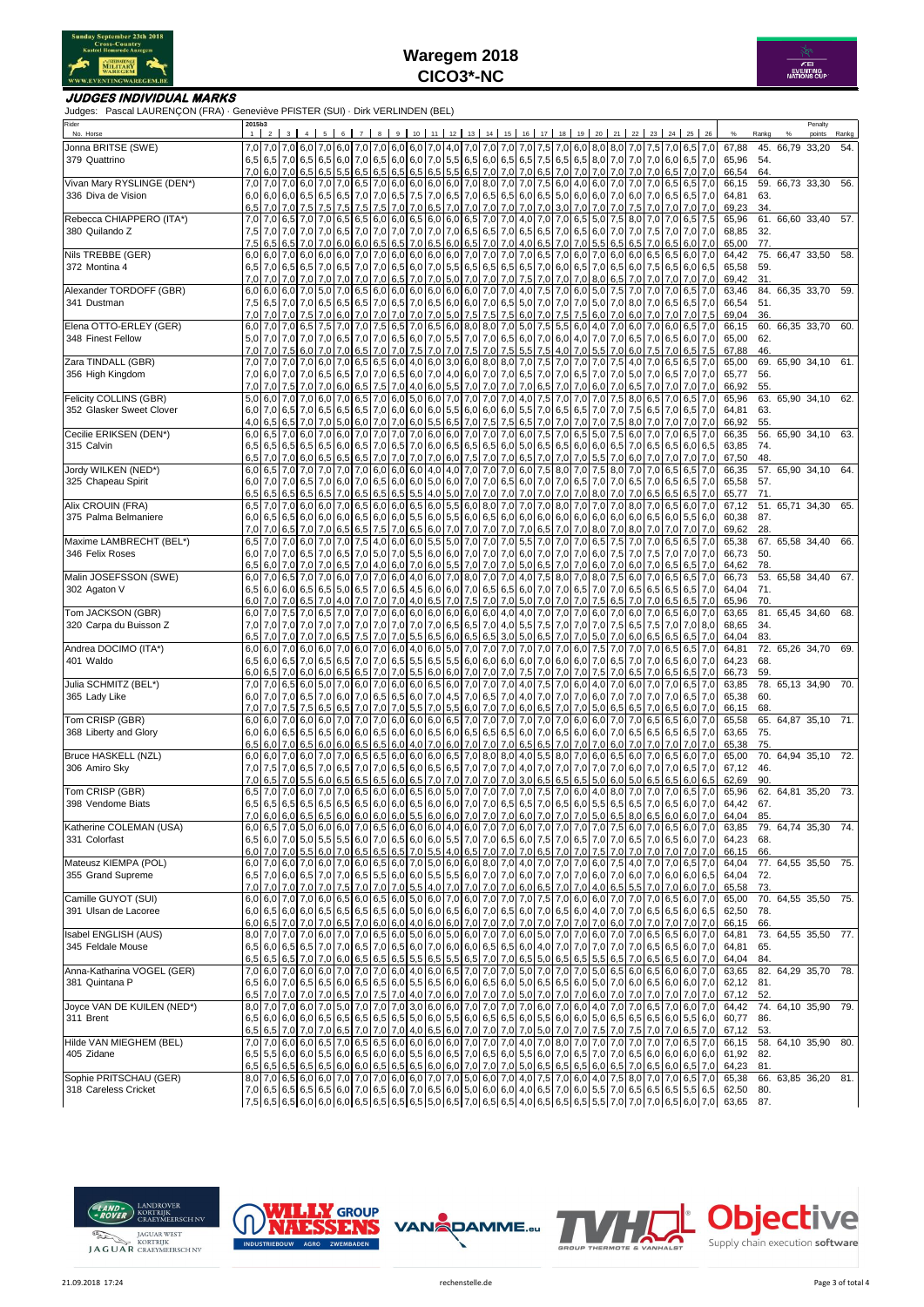



### **JUDGES INDIVIDUAL MARKS**

Judges: Pascal LAURENÇON (FRA) · Geneviève PFISTER (SUI) · Dirk VERLINDEN (BEL)

| Rider<br>No. Horse                        | 2015b3<br>1 |     | 3 <sup>1</sup>             | $\overline{4}$        | 5          | 6   |                        | 8                                 |                        | $9$ 10        |                   |                |     |                         |            | 11 12 13 14 15 16 17 18 19                                                                          |                  |     |                  |     | 20 21 22                   |                | 23                                                                                                                                                                                                                                                                                                                                                                                       | 24         | 25  | 26                     |                | Rankg      | Penalty<br>points             | Rankg |
|-------------------------------------------|-------------|-----|----------------------------|-----------------------|------------|-----|------------------------|-----------------------------------|------------------------|---------------|-------------------|----------------|-----|-------------------------|------------|-----------------------------------------------------------------------------------------------------|------------------|-----|------------------|-----|----------------------------|----------------|------------------------------------------------------------------------------------------------------------------------------------------------------------------------------------------------------------------------------------------------------------------------------------------------------------------------------------------------------------------------------------------|------------|-----|------------------------|----------------|------------|-------------------------------|-------|
| Jonna BRITSE (SWE)                        |             |     |                            | 7,0 7,0 7,0 6,0       |            |     |                        |                                   |                        |               |                   |                |     |                         |            | 7,0 6,0 7,0 7,0 6,0 6,0 7,0 4,0 7,0 7,0 7,0 7,0 7,0 7,5 7,0 6,0 8,0 8,0 7,0                         |                  |     |                  |     |                            |                | 7,5 7,0 6,5 7,0                                                                                                                                                                                                                                                                                                                                                                          |            |     |                        | 67.88          |            | 45. 66,79 33,20               | 54.   |
| 379 Quattrino                             |             |     |                            |                       |            |     |                        |                                   |                        |               |                   |                |     |                         |            |                                                                                                     |                  |     |                  |     |                            |                | 6,5 6,5 7,0 6,5 6,5 6,6 7,0 6,5 6,0 7,0 6,5 6,0 6,0 7,0 5,5 6,5 6,5 6,5 6,5 6,5 6,5 6,5 8,0 7,0 7,0 7,0 7,0 6,0 6,5 7,0                                                                                                                                                                                                                                                                  |            |     |                        | 65,96          | 54.        |                               |       |
|                                           |             |     | 7,0 6,0 7,0                | 6,5                   | 6,5        |     |                        |                                   |                        |               |                   |                |     |                         |            | 5.5 6.5 6.5 6.5 6.5 6.5 6.5 6.5 7.0 7.0 7.0 6.5 7.0 7.0 7.0 7.0 7.0 7.0                             |                  |     |                  |     |                            |                | 7.0 6.5                                                                                                                                                                                                                                                                                                                                                                                  |            |     | 7,0 7,0                | 66,54          | 64.        |                               |       |
| Vivan Mary RYSLINGE (DEN*)                |             |     |                            |                       |            |     |                        |                                   |                        |               |                   |                |     |                         |            | 7,0 7,0 6,0 7,0 6,0 7,0 6,1 7,0 6,0 6,0 6,0 6,0 7,0 8,0 7,0 7,0 7,5 6,0 4,0 6,0 7,0 7,0             |                  |     |                  |     |                            |                | 7,0 6,5 6,5 7,0                                                                                                                                                                                                                                                                                                                                                                          |            |     |                        | 66,15          |            | 59. 66,73 33,30               | 56.   |
| 336 Diva de Vision                        | 6,5         |     | $6,0$ 6.0 6.0<br>$7,0$ 7.0 | 6,5<br>7,5            | 6,5<br>7,5 | 7,5 | 7,5                    | 6,5 7,0 7,0 6,5 7,5<br>7,5        |                        | 7,0 7,0       | 7,0<br>$6,5$ 7,0  |                |     |                         |            | 6,5 7,0 6,5 6,5 6,0 6,5 5,0 6,0 6,0 7,0 6,0<br>7,0 7,0 7,0 7,0 7,0                                  |                  |     | $3,0$ 7.0        | 7,0 | 7,0 7,5                    |                | 7,0<br>7,0                                                                                                                                                                                                                                                                                                                                                                               | 6,5<br>7,0 |     | $6,5$ 7,0<br>7,0 7,0   | 64,81<br>69,23 | 63.<br>34. |                               |       |
| Rebecca CHIAPPERO (ITA*)                  | 7,0         | 7.0 | 6.5                        | 7.0                   | 7,0        | 6,5 | 6,5                    | 6,0                               | 6.0 6.5                |               | 6,0               | 6,0 6,5        |     | 7,0                     | 7,0        | 4,0                                                                                                 | 7,0              | 7.0 | 6,5              | 5,0 | 7.5                        | 8,0            | 7.0                                                                                                                                                                                                                                                                                                                                                                                      | 7.0        |     | $6,5$ 7.5              | 65,96          |            | 61. 66,60 33,40               | 57.   |
| 380 Quilando Z                            | 7,5         |     | $7,0$ 7,0                  | 7,0                   | 7,0        | 6,5 | 7,0                    | 7,0                               | 7,0 7,0                |               | $7,0$ 7,0         |                | 6,5 | 6,5                     |            | 7,0 6,5 6,5                                                                                         |                  |     | 7,0 6,5          | 6,0 | 7.0I                       | 7,0            | 7,5                                                                                                                                                                                                                                                                                                                                                                                      | 7,0        |     | 7.0 7.0                | 68,85          | 32.        |                               |       |
|                                           | 7,5         |     | $6,5$ 6,5                  | 7,0                   | 7,0        | 6,0 | 6,0                    | 6,5                               | 6,5 7,0                |               | 6,5               | 6,0            |     | $6,5$ 7,0               | 7,0        | 4,0                                                                                                 | 6,5              |     | $7,0$ 7,0        | 5,5 | 6,5                        | 6,5            | 7,0                                                                                                                                                                                                                                                                                                                                                                                      | 6,5        |     | $6,0$ 7.0              | 65,00          | 77.        |                               |       |
| Nils TREBBE (GER)                         |             |     | $6,0$ 6.0 7.0              |                       | 6,0 6,0    |     |                        | $6,0$ 7,0 7,0 6,0 6,0 6,0 6,0 6,0 |                        |               |                   |                |     |                         |            | 7,0 7,0 7,0 7,0 6,5 7,0 6,0 7,0 6,0 6,0                                                             |                  |     |                  |     |                            |                | $6.5$ 6.5                                                                                                                                                                                                                                                                                                                                                                                |            |     | 6,0 7,0                | 64,42          |            | 75. 66,47 33,50 58.           |       |
| 372 Montina 4                             | 6,5         |     | 7.0 6.5                    | 6,5                   | 7,0        |     |                        | 6,5 7,0 7,0 6,5 6,0 7,0           |                        |               |                   |                |     |                         |            | 5,5 6,5 6,5 6,5 6,5 7,0 6,0 6,5                                                                     |                  |     |                  |     | $7.0$ 6.5 6.0              |                | $7,5$ 6.5                                                                                                                                                                                                                                                                                                                                                                                |            |     | 6,0 6,5                | 65,58          | 59.        |                               |       |
|                                           | 7,0<br>6,0  | 7,0 | 7,0                        | 7.0<br>7,0            | 7,0<br>5,0 | 7,0 | 7,0                    | 7,0 6,5 7,0                       |                        |               | 7.0               | 5,0            |     | 7,0 7,0 7,0 7,5         |            |                                                                                                     | 7,0              | 7,0 | 7,0              |     | 8,0 6,5<br>$5,0$ 7.5       | 7,0<br>7,0     | 7,0                                                                                                                                                                                                                                                                                                                                                                                      | 7.0        |     | $7,0$ 7,0              | 69,42<br>63,46 | 31.        |                               |       |
| Alexander TORDOFF (GBR)<br>341 Dustman    | 7,5         | 6,5 | 6,0 6,0<br>7,0             | 7,0                   | 6,5        | 6,5 | 6,5                    | 7,0 6,5 6,0 6,0 6,0 6,0<br>7,0    | $6,5$ 7.0              |               | 6,5               | 6,0            |     | $6,0$ 7,0               | 6,5        | 6,0 6,0 7,0 7,0 4,0 7,5<br>5,0                                                                      | 7,0              | 7,0 | $7,0$ 6,0<br>7,0 |     | $5,0$ 7.0                  | 8,0            | 7,0<br>7,0                                                                                                                                                                                                                                                                                                                                                                               | 7,0<br>6,5 |     | $6,5$ 7,0<br>$6,5$ 7,0 | 66,54          | 51.        | 84. 66,35 33,70 59.           |       |
|                                           | 7,0         |     | $7,0$ 7,0                  | 7.5                   | 7.0        | 6.0 | 7.0                    | 7,0                               | $7,0$ 7.0              |               | 7.0               | 5,0            | 7,5 | 7,5                     | 7,5        | 6,0                                                                                                 | 7,0              | 7.5 | 7,5              | 6.0 | 7.0                        | 6,0            | 7.0                                                                                                                                                                                                                                                                                                                                                                                      |            |     | $7,0$ 7.5              | 69,04          | 36.        |                               |       |
| Elena OTTO-ERLEY (GER)                    | 6,0         | 7,0 | 7,0                        | 6,5                   | 7,5        |     | 7,0 7,0                | 7,5                               | $6,5$ 7,0              |               | 6,5               |                |     | $6,0$ 8,0 8,0           |            | $7,0$ 5,0                                                                                           | 7,5 5,5 6,0      |     |                  |     | 4,0 7,0 6,0                |                | 7,0                                                                                                                                                                                                                                                                                                                                                                                      | 6,0        |     | $6,5$ 7,0              | 66,15          |            | 60. 66,35 33,70               | 60.   |
| 348 Finest Fellow                         | 5,0         | 7,0 | 7,0                        | 7,0                   | 7,0        | 6,5 |                        | $7,0$ 7,0                         |                        | 6,5 6,0       | 7,0               | 5,5            |     |                         |            | 7,0 7,0 6,5 6,0 7,0 6,0 4,0                                                                         |                  |     |                  | 7,0 | 7,0 6,5                    |                | $7.0$ 6.5                                                                                                                                                                                                                                                                                                                                                                                |            |     | $6,0$ 7.0              | 65,00          | 62.        |                               |       |
|                                           | 7,0         | 7,0 | 7,5                        | 6,0                   | 7,0        | 7,0 | 6,5                    | 7,0                               | $7,0$ 7,5              |               | 7,0               | 7,0            | 7,5 | 7,0                     | 7,5        | 5,5                                                                                                 | 7,5              | 4,0 | 7,0              | 5,5 | 7,0                        | 6,0            | 7,5                                                                                                                                                                                                                                                                                                                                                                                      | 7,0        | 6,5 | 7,5                    | 67,88          | 46.        |                               |       |
| Zara TINDALL (GBR)                        | 7,0         | 7,0 | 7,0                        | 7.0                   | 6,0        | 7.0 | 6,5                    | 6,5 6,0 4,0                       |                        |               | 6,0               | 3,0            |     | 6,0 8,0 8,0 7,0         |            |                                                                                                     | $7,5$ 7,0        |     | 7,0              | 7,0 | 7,5                        | 4,0            | 7,0                                                                                                                                                                                                                                                                                                                                                                                      | 6,5        |     | $6,5$ 7,0              | 65,00          |            | 69. 65,90 34,10 61.           |       |
| 356 High Kingdom                          | 7,0         | 7,0 | 7,0 6,0 7,0<br>7,5         | 7,0<br>7.0            | 6,5<br>7,0 |     | 6,0 6,5                | 6,5 7,0 7,0<br>7,5                | $7,0$ 4.0              | $6,5$ 6,0 7,0 | 6,0               | 5,5            | 7,0 | 7,0                     |            | 4,0 6,0 7,0 7,0 6,5 7,0 7,0 6,5<br>7,0 7,0                                                          | 6,5              | 7.0 | 7,0              | 6,0 | 7,0 7,0 5,0<br>7,0         | 6,5            | 7,0<br>7,0                                                                                                                                                                                                                                                                                                                                                                               | 6,5<br>7.0 |     | $7,0$ 7,0<br>$7,0$ 7,0 | 65,77<br>66,92 | 56.<br>55. |                               |       |
| Felicity COLLINS (GBR)                    | 5,0         |     | $6.0$ 7.0                  | 7,0                   | 6,0        |     |                        | 7,0 6,5 7,0 6,0 5,0               |                        |               |                   |                |     | 6,0 7,0 7,0 7,0 7,0 4,0 |            |                                                                                                     | 7,5 7,0 7,0      |     |                  | 7,0 | 7,5                        | 8,0            | 6,5                                                                                                                                                                                                                                                                                                                                                                                      | 7,0        |     | $6,5$ 7.0              | 65,96          |            | 63. 65,90 34,10               | 62.   |
| 352 Glasker Sweet Clover                  |             |     | 6,0 7,0 6,5                | 7,0                   | 6,5        | 6,5 | 6,5                    | 7,0                               |                        | $6,0$ 6.0     | 6,0               |                |     | 5,5 6,0 6,0 6,0 5,5     |            |                                                                                                     | 7,0              | 6,5 | 6,5              |     | $7,0$ 7.0                  | 7,5            | 6,5                                                                                                                                                                                                                                                                                                                                                                                      | 7,0        |     | $6,5$ 7.0              | 64,81          | 63.        |                               |       |
|                                           | 4,0         |     | 6,5 6,5                    | 7,0                   | 7,0        |     | 5,0 6,0 7,0            |                                   |                        | 7,0 6,0       | $5,5$ 6,5         |                |     |                         |            | 7,0 7,5 7,5 6,5 7,0                                                                                 |                  | 7,0 | 7,0              | 7,0 | 7,5                        | 8,0            | 7,0                                                                                                                                                                                                                                                                                                                                                                                      | 7,0        |     | 7,0 7,0                | 66,92          | 55.        |                               |       |
| Cecilie ERIKSEN (DEN*)                    | 6,0         | 6,5 | 7,0                        | 6,0                   | 7,0        |     | 6,0 7,0                | 7,0                               |                        | 7.0 7.0       | 6,0               |                |     |                         |            | 6,0 7,0 7,0 7,0 6,0 7,5                                                                             |                  |     | $7,0$ 6,5        |     | $5,0$ 7.5                  | 6,0            | 7.0                                                                                                                                                                                                                                                                                                                                                                                      | 7.0        |     | $6,5$ 7,0              | 66,35          |            | 56. 65,90 34,10               | 63.   |
| 315 Calvin                                |             |     | $6,5$ 6,5 6,5              | 6,5                   | 6,5        |     |                        | 6,0 6,5 7,0                       |                        | $6,5$ 7,0     | 6,0 6,5           |                |     |                         |            | 6,5 6,5 6,0 5,0 6,5 6,5 6,0                                                                         |                  |     |                  |     | $6,0$ 6.5 7.0              |                | 6,5                                                                                                                                                                                                                                                                                                                                                                                      | 6,5        |     | 6,0 6,5                | 63,85          | 74.        |                               |       |
| Jordy WILKEN (NED*)                       | 6,5         | 7,0 | 7.0                        | 6,0                   | 6,5        | 6,5 | 6,5                    | 7,0                               | 7,0 7,0                |               | 7,0               | 6,0            |     |                         |            | 7,5 7,0 7,0 6,5 7,0<br>7,0 7,0 7,0 6,0 7,5 8,0 7,0                                                  |                  |     | 7,0 7,0          | 5,5 | $7,0$ 6.0                  |                | 7,0                                                                                                                                                                                                                                                                                                                                                                                      | 7.0        |     | $7,0$ 7,0              | 67,50          | 48.        |                               |       |
| 325 Chapeau Spirit                        | 6,0         | 6,5 | 7,0<br>$6,0$ 7.0 7.0       | 7,0<br>6,5            | 7,0<br>7,0 | 7,0 |                        | 7,0 6,0 6,0 6,0<br>6,0 7,0 6,5    |                        | $6,0$ 6,0     | $4,0$ 4,0         |                |     |                         |            | 5,0 6,0 7,0 7,0 6,5 6,0 7,0 7,0 6,5                                                                 |                  |     |                  |     | $7,5$ 8.0<br>7,0 7,0 6,5   | 7,0            | 7,0<br>$7,0$ 6.5                                                                                                                                                                                                                                                                                                                                                                         | 6,5        |     | $6,5$ 7,0<br>$6,5$ 7,0 | 66,35<br>65,58 | 57.        | 57. 65,90 34,10 64.           |       |
|                                           | 6,5         | 6,5 | 6,5                        | 6,5                   | 6,5        | 7,0 | 6,5                    | 6,5                               | 6,5 5,5                |               | 4,0               | 5,0            | 7,0 | 7,0                     |            | 7,0 7,0                                                                                             | 7,0              | 7,0 | 7,0              | 8,0 | 7,0                        | 7,0            | 6,5                                                                                                                                                                                                                                                                                                                                                                                      | 6,5        |     | $6,5$ 7,0              | 65,77          | 71.        |                               |       |
| Alix CROUIN (FRA)                         | 6,5         |     | $7,0$ 7.0                  |                       | 6,0 6,0    |     |                        | 7,0 6,5 6,0 6,0 6,5 6,0           |                        |               |                   |                |     |                         |            | 5,5 6,0 8,0 7,0 7,0 7,0 8,0 7,0                                                                     |                  |     |                  |     | 7,0 7,0 8,0                |                | $7,0$ 6,5                                                                                                                                                                                                                                                                                                                                                                                |            |     | $6,0$ 7,0              | 67,12          |            | 51. 65,71 34,30               | 65.   |
| 375 Palma Belmaniere                      | 6,0         |     | 6.5 6.5                    | 6,0                   | 6,0        | 6,0 | 6,5                    | 6,0                               | 6,0 5,5                |               | 6,0               | 5,5            | 6,0 | 6,5                     |            | 6,0 6,0                                                                                             | 6,0              | 6,0 | 6,0              | 6,0 | 6,0                        | 6,0            | 6.5                                                                                                                                                                                                                                                                                                                                                                                      | 6,0        |     | 5,5 6,0                | 60,38          | 87.        |                               |       |
|                                           | 7,0         |     | 7,0 6,5                    | 7.0                   | 7,0        | 6,5 | 6,5                    | 7,5                               | 7,0 6,5                |               | 6,0               | 7,0            | 7,0 | $7,0$ 7,0               |            | 7,0                                                                                                 | 6,5              | 7,0 | 7,0              | 8,0 | 7.0                        | 8,0            | 7,0                                                                                                                                                                                                                                                                                                                                                                                      | 7.0        |     | 7.0 7.0                | 69,62          | 28.        |                               |       |
| Maxime LAMBRECHT (BEL*)                   | 6,5         |     | 7,0 7,0                    | 6,0                   | 7.0        |     | 7,0 7,5                | 4,0                               | 6,0 6,0                |               | 5,5               | 5,0            |     | 7,0 7,0                 |            | 7,0 5,5                                                                                             | 7,0              | 7,0 | 7,0              | 6.5 | 7.5                        | 7,0            | 7.0                                                                                                                                                                                                                                                                                                                                                                                      | 6,5        |     | $6,5$ 7,0              | 65,38          |            | $\overline{67}$ . 65,58 34,40 | 66.   |
| 346 Felix Roses                           | 6,0         | 7,0 | 7,0                        | 6,5                   | 7,0        | 6,5 |                        | 7,0 5,0 7,0 5,5 6,0 6,0           |                        |               |                   |                |     |                         |            | 7,0 7,0 7,0 6,0 7,0                                                                                 |                  |     | $7,0$ 7,0        | 6,0 | $7,5$ 7,0                  |                | 7,5                                                                                                                                                                                                                                                                                                                                                                                      | 7,0        |     | 7,0 7,0                | 66,73          | 50.        |                               |       |
| Malin JOSEFSSON (SWE)                     | 6,5<br>6,0  |     | 6.017.0<br>$7,0$ 6.5       | 7,0<br>7,0            | 7,0<br>7,0 | 6,0 | $6,5$ 7,0<br>7,0       | 4,0<br>7,0 6,0                    | $6,0$ 7,0              | 4,0           | 6,0<br>6,0        | 5,5 7,0<br>7,0 |     | $8,0$ 7,0 7,0           |            | 7,0 7,0 5,0<br>4,0                                                                                  | 6,5<br>$7,5$ 8,0 |     | 7,0 7,0<br>7,0   | 6,0 | $8,0$ 7.5                  | 7,0 6,0<br>6,0 | 7,0<br>7,0                                                                                                                                                                                                                                                                                                                                                                               | 6,5<br>6,5 |     | $6,5$ 7,0<br>$6,5$ 7,0 | 64,62<br>66,73 | 78.        | 53. 65,58 34,40               | 67.   |
| 302 Agaton V                              |             |     | $6,5$ 6,0 6,0              | 6,5                   | 6,5        |     | $5,0$ 6.5              | 7,0                               |                        | $6,5$ 4,5 6,0 |                   |                |     | 6,0 7,0 6,5 6,5         |            | $6,0$ 7,0                                                                                           |                  |     | 7,0 6,5          | 7,0 | 7,0 6,5                    |                | 6.5 6.5                                                                                                                                                                                                                                                                                                                                                                                  |            |     | $6,5$ 7,0              | 64,04          | 71.        |                               |       |
|                                           | 6,0         | 7,0 | 7,0                        | 6,5                   | 7,0        | 4,0 | 7,0                    | 7,0                               |                        | $7,0$ 4.0     | 6,5               | 7,0            |     | 7,5 7,0 7,0 5,0         |            |                                                                                                     | 7,0              | 7,0 | 7,0              | 7,5 | 6,5                        | 7,0            | 7,0                                                                                                                                                                                                                                                                                                                                                                                      | 6,5        |     | $6,5$ 7,0              | 65,96          | 70.        |                               |       |
| Tom JACKSON (GBR)                         | 6,0         |     | 7,0 7,5                    | 7,0                   | 6,5        |     | 7,0 7,0                | 7,0                               |                        | $6,0$ 6.0     | 6,0               | 6,0            | 6,0 |                         |            | $6,0$ 4,0 4,0                                                                                       | 7,0              | 7,0 | 7,0              | 6,0 | 7,0                        | 6,0            | 7,0                                                                                                                                                                                                                                                                                                                                                                                      | 6,5        |     | $6,0$ 7.0              | 63,65          |            | 81. 65,45 34,60               | 68.   |
| 320 Carpa du Buisson Z                    | 7,0         | 7,0 | 7,0                        | 7,0                   | 7,0        | 7,0 | 7,0                    | 7,0                               |                        | $7,0$ 7.0     | 7,0               | 6,5            |     | 6,5 7,0 4,0 5,5         |            |                                                                                                     | 7,5              |     | $7,0$ 7,0        | 7,0 | 7.5 6.5                    |                | 7,5                                                                                                                                                                                                                                                                                                                                                                                      | 7,0        |     | 7,0 8,0                | 68,65          | 34.        |                               |       |
|                                           | 6,5         |     | 7,0 7.0                    | 7.0                   | 7,0        |     |                        | 6,5 7,5 7,0 7,0 5,5               |                        |               |                   |                |     |                         |            | 6,5 6,0 6,5 6,5 3,0 5,0 6,5                                                                         |                  | 7,0 | 7,0              | 5,0 | $7,0$ 6.0                  |                | 6,5                                                                                                                                                                                                                                                                                                                                                                                      | 6,5        |     | $6,5$ 7.0              | 64,04          | 83.        |                               |       |
| Andrea DOCIMO (ITA*)                      | 6,0         |     | $6.0$ 7.0                  | 6,0                   | 6,0        |     | $7,0$ 6.0<br>$6,5$ 7,0 |                                   |                        |               |                   |                |     |                         |            | 7,0 6,0 4,0 6,0 5,0 7,0 7,0 7,0 7,0 7,0 7,0 7,0 6,0                                                 |                  |     |                  |     | $7,5$ 7.0                  | 7,0            | 7,0                                                                                                                                                                                                                                                                                                                                                                                      | 6,5        |     | $6,5$ 7,0              | 64,81          |            | 72. 65,26 34,70               | 69.   |
| 401 Waldo                                 | 6,5<br>6,0  |     | $6,0$ 6.5<br>$6,5$ 7,0     | 7,0<br>6,0            | 6,5<br>6,0 |     |                        | 6,5 6,5 7,0                       |                        | 7,0 5,5       | 6,0               |                |     |                         |            | 7,0 6,5 5,5 6,5 5,5 6,0 6,0 6,0 6,0 7,0 6,0 6,0<br>6,0 7,0 7,0 7,0 7,5 7,0                          |                  |     | 7,0 7,0          |     | 7,0 6,5 7,0<br>7,5 7,0 6,5 |                | 7,0 6,5<br>7,0                                                                                                                                                                                                                                                                                                                                                                           | 6,5        |     | $6,0$ 7,0<br>$6,5$ 7,0 | 64,23<br>66,73 | 68.<br>59. |                               |       |
| Julia SCHMITZ (BEL*)                      | 7,0         |     | $7,0$ 6.5                  | 6,0                   | 5,0        | 7.0 |                        | $6,0$ 7.0                         |                        | $6,0$ 6.0     | 6,5               | 6,0            |     | $7,0$ 7,0 7,0           |            | 4,0                                                                                                 | 7,5              | 7,0 | 6,0              | 4,0 | 7,0                        | 6,0            | 7.0                                                                                                                                                                                                                                                                                                                                                                                      | 7.0        |     | $6,5$ 7,0              | 63,85          |            | 78. 65,13 34,90 70.           |       |
| 365 Lady Like                             | 6,0         |     | $7,0$ 7.0                  | 6,5                   | 7,0        |     | $6,0$ 7,0              | 6,5                               |                        | $6,5$ 6,0     | 7,0               | 4,5            | 7,0 |                         |            | $6,5$ 7,0 4,0                                                                                       | 7,0              |     | 7,0 7,0          |     | $6,0$ 7,0 7,0              |                | 7,0                                                                                                                                                                                                                                                                                                                                                                                      | 7,0        |     | $6,5$ 7,0              | 65,38          | 60.        |                               |       |
|                                           | 7,0         | 7.0 | 7.5                        | 7.5                   | 6,5        | 6,5 | 7.0                    | 7,0                               | 7,0                    | 5,5           | 7.0               | 5,5            | 6,0 | 7,0                     | 7,0        | 6,0                                                                                                 | 6,5              | 7.0 | 7,0              | 5,0 | 6,5                        | 6,5            | 7.0                                                                                                                                                                                                                                                                                                                                                                                      | 6,5        |     | $6,0$ 7.0              | 66,15          | 68.        |                               |       |
| Tom CRISP (GBR)                           |             |     | $6,0$ 6,0 7,0              |                       | 6.0 6.0    | 7,0 |                        | 7,0 7,0                           |                        |               | $6,0$ 6,0 6,0 6,5 |                |     | 7,0 7,0 7,0             |            | 7,0                                                                                                 | 7,0              | 7,0 | 6,0              | 6,0 | 7,0                        | 7,0            | 6.5 6.5                                                                                                                                                                                                                                                                                                                                                                                  |            |     | $6,0$ 7,0              | 65,58          |            | 65. 64,87 35,10 71.           |       |
| 368 Liberty and Glory                     | 6,0         |     | 6.0 6.5                    | 6,5                   | 6,5        |     | $6.0$ 6.0              | 6,5                               |                        | $6,0$ 6.0     | 6,5               | 6,0            |     | 6.5 6.5 6.5             |            | 6,0                                                                                                 | 7,0              |     | 6,56,0           |     | $6.0$ 7.0 6.5              |                | $6,5$ 6.5                                                                                                                                                                                                                                                                                                                                                                                |            |     | $6,5$ 7,0              | 63,65          | 75.        |                               |       |
| Bruce HASKELL (NZL)                       | 6,5<br>6,0  |     | $6,0$ 7,0<br>$6.0$ 7.0     | 6,5<br>6,0            | 6,0<br>7,0 | 6,0 | 6,5<br>$7.0$ 6.5       | 6,5<br>6,5                        | $6,0$ 4,0<br>$6,0$ 6.0 |               | 7,0<br>6,0        | 6,0            | 7,0 | 7,0<br>$6,5$ 7,0 8,0    | 7,0<br>8,0 | 6,5<br>4,0                                                                                          | 6,5<br>5,5       | 7.0 | 7,0<br>8,0 7,0   | 7.0 | 6,0<br>6,0 6,5             | 7,0<br>6,0     | 7,0<br>7.0                                                                                                                                                                                                                                                                                                                                                                               | 7.0<br>6,5 |     | $7,0$ 7.0<br>$6,0$ 7,0 | 65,38<br>65,00 | 75.        | 70. 64,94 35,10 72.           |       |
| 306 Amiro Sky                             | 7,0         | 7,5 | 7,0                        | 6,5                   | 7,0        | 6,5 | 7,0                    | 7,0                               | 6,5                    | 6,0           | 6,5               | 6,5            |     | 7.0 7.0                 | 7,0        | 4,0                                                                                                 | 7,0              | 7.0 | 7,0              | 7.0 | $7,0$ 6.0                  |                | 7,0                                                                                                                                                                                                                                                                                                                                                                                      | 7,0        |     | $6,5$ 7,0              | 67,12          | 46.        |                               |       |
|                                           | 7,0         | 6,5 | 7,0                        | 5,5                   | 6,0        |     | $6.5$ 6.5              | 6,5                               | 6,0 6,5                |               | 7,0               | 7,0            | 7,0 | 7,0                     | 7,0        | 3,0                                                                                                 | 6,5              | 6,5 | 6,5              | 5,0 | 6,0                        | 5,0            | 6,5                                                                                                                                                                                                                                                                                                                                                                                      | 6,5        | 6,0 | 6,5                    | 62,69          | 90.        |                               |       |
| Tom CRISP (GBR)                           | 6,5         | 7,0 | 7,0                        | 6,0                   | 7,0        |     | 7,0 6,5                | 6,0 6,0 6,5                       |                        |               | 6,0               | 5,0            | 7,0 | 7,0                     | 7,0        | 7,0                                                                                                 | 7,5              | 7,0 | 6,0              | 4,0 | 8,0                        | 7,0            | 7,0                                                                                                                                                                                                                                                                                                                                                                                      | 7,0        |     | $6,5$ 7,0              | 65,96          |            | 62. 64,81 35,20 73.           |       |
| 398 Vendome Biats                         |             |     |                            | $6,5$ 6,5 6,5 6,5 6,5 |            |     |                        |                                   |                        |               |                   |                |     |                         |            |                                                                                                     |                  |     |                  |     |                            |                | $6,5$ 6,5 6,6 6,0 6,0 6,5 6,0 6,0 7,0 7,0 6,5 6,5 7,0 6,5 6,0 5,5 6,5 6,5 6,5 7,0 6,5 6,0 7,0                                                                                                                                                                                                                                                                                            |            |     |                        | 64,42          | 67.        |                               |       |
|                                           |             |     |                            |                       |            |     |                        |                                   |                        |               |                   |                |     |                         |            |                                                                                                     |                  |     |                  |     |                            |                | 7.0 6.0 6.0 6.5 6.5 6.0 6.0 6.0 6.0 5.5 6.0 6.0 7.0 7.0 7.0 6.0 7.0 7.0 7.0 5.0 6.5 8.0 6.5 6.0 6.0 7.0                                                                                                                                                                                                                                                                                  |            |     |                        | 64.04          | 85         |                               |       |
| Katherine COLEMAN (USA)                   |             |     |                            |                       |            |     |                        |                                   |                        |               |                   |                |     |                         |            |                                                                                                     |                  |     |                  |     |                            |                | 6,0 $\overline{0}$ , $\overline{0}$ $\overline{0}$ , $\overline{0}$ $\overline{0}$ , $\overline{0}$ $\overline{0}$ , $\overline{0}$ $\overline{0}$ , $\overline{0}$ $\overline{0}$ , $\overline{0}$ $\overline{0}$ , $\overline{0}$ $\overline{0}$ , $\overline{0}$ $\overline{0}$ $\overline{0}$ $\overline{0}$ $\overline{0}$ $\overline{0}$ $\overline{0}$ $\overline{0}$ $\overline$ |            |     |                        | 63,85          |            | 79. 64,74 35,30               | 74.   |
| 331 Colorfast                             |             |     |                            |                       |            |     |                        |                                   |                        |               |                   |                |     |                         |            |                                                                                                     |                  |     |                  |     |                            |                | 6,5 6,0 7,0 6,5 7,0 6,5 7,0 6,5 7,0 6,5 6,0 7,0 6,5 6,0 6,0 6,0 6,5 7,0 7,0 6,5 6,0 7,5 7,0 6,5 7,0 7,0 6,5 7,0 6,5 7,0 6,5 7,0 6,5 7,0 6,5 7,0 6,5 7,0 6,5 6,0 7,0                                                                                                                                                                                                                      |            |     |                        | 64,23<br>66,15 | 68.<br>66. |                               |       |
| Mateusz KIEMPA (POL)                      |             |     |                            |                       |            |     |                        |                                   |                        |               |                   |                |     |                         |            |                                                                                                     |                  |     |                  |     |                            |                | 6,0 7,0 6,0 7,0 6,0 7,0 6,0 7,0 6,5 7,0 6,5 7,0 6,0 6,0 6,0 6,0 6,0 6,0 6,0 7,0 7,0 7,0 7,0 7,0 6,0 7,5 4,0 7,0 7,0 6,5 7,0                                                                                                                                                                                                                                                              |            |     |                        | 64,04          |            | 77. 64,55 35,50               | 75.   |
| 355 Grand Supreme                         |             |     |                            |                       |            |     |                        |                                   |                        |               |                   |                |     |                         |            |                                                                                                     |                  |     |                  |     |                            |                | 6,5 7,0 6,0 7,0 6,0 7,0 6,0 7,0 6,0 6,0 6,0 6,0 6,0 6,0 6,0 6,0 6,0 7,0 6,0 7,0 7,0 6,0 7,0 6,0 7,0 6,0 7,0 6,0 6,0 6,0 6,0 6,0 6,0 6,0                                                                                                                                                                                                                                                  |            |     |                        | 64,04          | 72.        |                               |       |
|                                           |             |     |                            |                       |            |     |                        |                                   |                        |               |                   |                |     |                         |            | 7,0 7,0 7,0 7,0 7,0 7,0 7,5 7,0 7,0 7,0 5,5 4,0 7,0 7,0 7,0 7,0 6,0 6,5 7,0 7,0 4,0 6,5 5,5         |                  |     |                  |     |                            |                | 7,0 7,0 6,0 7,0                                                                                                                                                                                                                                                                                                                                                                          |            |     |                        | 65,58          | 73.        |                               |       |
| Camille GUYOT (SUI)                       |             |     |                            |                       |            |     |                        |                                   |                        |               |                   |                |     |                         |            |                                                                                                     |                  |     |                  |     |                            |                | 6,0 7,0 7,0 6,5 6,0 7,0 6,5 6,0 7,0 6,5 6,0 6,0 7,0 6,0 7,0 7,0 7,0 7,0 7,0 7,0 7,0 6,0 6,0 7,0 7,0 7,0 7,0 6,5 6,0 7,0                                                                                                                                                                                                                                                                  |            |     |                        | 65,00          |            | 70. 64,55 35,50 75.           |       |
| 391 Ulsan de Lacoree                      |             |     |                            |                       |            |     |                        |                                   |                        |               |                   |                |     |                         |            |                                                                                                     |                  |     |                  |     |                            |                | 6, $\left  6, 6 \right  6, 0 \left  6, 0 \right  6, 5 \left  6, 5 \right  6, 5 \left  6, 6 \right  6, 0 \left  5, 0 \right  6, 0 \left  6, 5 \right  6, 0 \left  7, 0 \right  6, 5 \left  6, 0 \right  7, 0 \left  6, 5 \right  6, 0 \left  7, 0 \right  6, 5 \left  6, 0 \right  7, 0 \left  6, 5 \right  6, 5 \left  6, 0 \right  6, 5 \left  6, 0 \right$                             |            |     |                        | 62,50          | 78.        |                               |       |
|                                           |             |     |                            | 6,0 6,5 7,0 7,0       |            |     |                        |                                   |                        |               |                   |                |     |                         |            | 7,0 6,5 7,0 6,0 6,0 4,0 6,0 6,0 7,0 7,0 7,0 7,0 7,0 7,0 7,0 7,0 7,0 6,0 7,0                         |                  |     |                  |     |                            |                | 7,0 7,0 7,0 7,0                                                                                                                                                                                                                                                                                                                                                                          |            |     |                        | 66,15          | 66.        |                               |       |
| Isabel ENGLISH (AUS)<br>345 Feldale Mouse |             |     | 8,0 7,0 7,0                |                       |            |     |                        |                                   |                        |               |                   |                |     |                         |            |                                                                                                     |                  |     |                  |     |                            |                | 7,0 6,0 7,0 6,5 6,5 6,0 7,0 6,6 6,0 5,0 6,0 7,0 7,0 6,0 7,0 7,0 7,0 6,0 7,0 7,0 6,5 6,5 6,5 6,0 7,0<br>6,5 6,0 6,5 6,5 7,0 7,0 6,5 7,0 6,5 7,0 6,5 6,0 7,0 6,0 6,0 6,0 6,5 6,6 4,0 7,0 7,0 7,0 7,0 7,0 7,0 6,5 6,6 6,0 7,0                                                                                                                                                               |            |     |                        | 64,81<br>64,81 | 65.        | 73. 64,55 35,50 77.           |       |
|                                           |             |     |                            | 6,5 6,5 6,5 7,0       |            |     |                        |                                   |                        |               |                   |                |     |                         |            |                                                                                                     |                  |     |                  |     |                            |                | 7,0 6,0 6,5 6,5 6,5 6,5 6,5 6,5 6,5 6,5 7,0 7,0 6,5 5,0 6,5 6,5 5,5 6,5 7,0 6,5 6,5 6,0 7,0                                                                                                                                                                                                                                                                                              |            |     |                        | 64,04          | 84.        |                               |       |
| Anna-Katharina VOGEL (GER)                |             |     |                            |                       |            |     |                        |                                   |                        |               |                   |                |     |                         |            |                                                                                                     |                  |     |                  |     |                            |                | 7,0 6,0 7,0 6,0 6,0 6,0 6,0 7,0 7,0 6,0 4,0 6,0 4,0 6,0 6,5 7,0 7,0 7,0 7,0 7,0 7,0 7,0 5,0 6,5 6,0 6,5 6,0 6,6 6,0 7,0                                                                                                                                                                                                                                                                  |            |     |                        | 63,65          |            | 82. 64,29 35,70 78.           |       |
| 381 Quintana P                            |             |     |                            |                       |            |     |                        |                                   |                        |               |                   |                |     |                         |            |                                                                                                     |                  |     |                  |     |                            |                | 6, $\left[ 6,0\right]$ 7, 0 $\left[ 6,5\right]$ 6, $\left[ 6,0\right]$ 6, $\left[ 6,5\right]$ 6, $\left[ 6,0\right]$ 5, $\left[ 6,0\right]$ 6, $\left[ 6,0\right]$ 6, $\left[ 6,5\right]$ 6, $\left[ 6,0\right]$ 5, $\left[ 6,0\right]$ 7, 0 $\left[ 6,0\right]$ 6, $\left[ 6,0\right]$ 6, $\left[ 6,0\right]$ 6, $\left[ 6,$                                                            |            |     |                        | 62,12 81.      |            |                               |       |
|                                           |             |     |                            |                       |            |     |                        |                                   |                        |               |                   |                |     |                         |            | 6,5 7,0 7,0 7,0 7,0 7,0 6,5 7,0 7,0 7,5 7,0 4,0 7,0 6,0 7,0 7,0 7,0 5,0 7,0 7,0 7,0 6,0 7,0 7,0 7,0 |                  |     |                  |     |                            |                | 7,0 7,0 7,0 7,0                                                                                                                                                                                                                                                                                                                                                                          |            |     |                        | 67,12          | 52.        |                               |       |
| Joyce VAN DE KUILEN (NED*)                |             |     |                            |                       |            |     |                        |                                   |                        |               |                   |                |     |                         |            |                                                                                                     |                  |     |                  |     |                            |                | 8,0 7,0 6,0 7,0 6,0 7,0 6,0 7,0 6,0 7,0 7,0 3,0 6,0 6,0 7,0 7,0 7,0 7,0 6,0 7,0 6,0 4,0 7,0 7,0 6,5 7,0 6,0 7,0                                                                                                                                                                                                                                                                          |            |     |                        | 64,42          |            | 74. 64,10 35,90               | 79.   |
| 311 Brent                                 |             |     |                            |                       |            |     |                        |                                   |                        |               |                   |                |     |                         |            |                                                                                                     |                  |     |                  |     |                            |                | 6,5 6,0 6,0 6,0 6,5 6,5 6,5 6,5 6,5 6,5 6,6 6,0 6,0 5,5 6,0 6,5 6,6 6,0 5,5 6,0 6,0 5,0 6,5 6,5 6,5 6,0 5,5 6,0                                                                                                                                                                                                                                                                          |            |     |                        | 60,77          | 86.        |                               |       |
|                                           |             |     |                            | 6,5 6,5 7,0 7,0       |            |     |                        |                                   |                        |               |                   |                |     |                         |            | 7,0 6,5 7,0 7,0 7,0 4,0 6,5 6,0 7,0 7,0 7,0 7,0 5,0 7,0 7,0 7,5 7,0 7,5                             |                  |     |                  |     |                            |                | 7,0 7,0 6,5 7,0<br>7,0 6,0 6,0 6,0 6,5 7,0 6,5 6,6 6,6 6,0 6,0 6,0 6,0 7,0 7,0 7,0 7,0 7,0 8,0 7,0 7,0 7,0 7,0 7,0 7,0 7,0 7,0 7,0 6,5 7,0                                                                                                                                                                                                                                               |            |     |                        | 67,12          | 53.        |                               |       |
| Hilde VAN MIEGHEM (BEL)<br>405 Zidane     |             |     |                            |                       |            |     |                        |                                   |                        |               |                   |                |     |                         |            |                                                                                                     |                  |     |                  |     |                            |                |                                                                                                                                                                                                                                                                                                                                                                                          |            |     |                        | 66,15<br>61,92 | 82.        | 58. 64,10 35,90               | 80.   |
|                                           |             |     |                            |                       |            |     |                        |                                   |                        |               |                   |                |     |                         |            |                                                                                                     |                  |     |                  |     |                            |                | $6,5$ 6,5 6,5 6,5 6,5 6,6 6,0 6,0 6,0 6,6 6,5 6,5 6,0 6,0 7,0 7,0 7,0 7,0 6,5 6,5 6,5 6,5 6,6 6,6 7,0 6,5 6,0 6,5 7,0 6,5 7,0                                                                                                                                                                                                                                                            |            |     |                        | 64,23          | 81.        |                               |       |
| Sophie PRITSCHAU (GER)                    |             |     |                            |                       |            |     |                        |                                   |                        |               |                   |                |     |                         |            |                                                                                                     |                  |     |                  |     |                            |                | 8,0 7,0 6,5 6,0 6,0 7,0 7,0 7,0 7,0 7,0 6,0 6,0 7,0 7,0 7,0 5,0 6,0 7,0 4,0 7,5 7,0 6,0 4,0 7,5 8,0 7,0 7,0 6,5 7,0                                                                                                                                                                                                                                                                      |            |     |                        | 65,38          |            | 66. 63,85 36,20 81.           |       |
| 318 Careless Cricket                      |             |     |                            |                       |            |     |                        |                                   |                        |               |                   |                |     |                         |            |                                                                                                     |                  |     |                  |     |                            |                | 7,0 6,5 6,5 6,5 6,5 6,6 7,0 6,5 6,0 7,0 6,5 6,0 7,0 6,5 6,0 5,0 6,0 6,0 4,0 6,5 7,0 6,0 5,5 7,0 6,5 6,5 6,5 6,5 5,5 6,5                                                                                                                                                                                                                                                                  |            |     |                        | 62,50          | 80.        |                               |       |
|                                           |             |     |                            |                       |            |     |                        |                                   |                        |               |                   |                |     |                         |            |                                                                                                     |                  |     |                  |     |                            |                | 7,5 6,5 6,5 6,0 7,0 6,5 6,0 6,0 6,6 6,5 6,5 6,5 6,5 5,0 6,5 7,0 6,5 6,5 4,0 6,5 6,5 6,5 6,5 7,0 7,0 7,0 6,5 6,0 7,0                                                                                                                                                                                                                                                                      |            |     |                        | 63,65 87.      |            |                               |       |